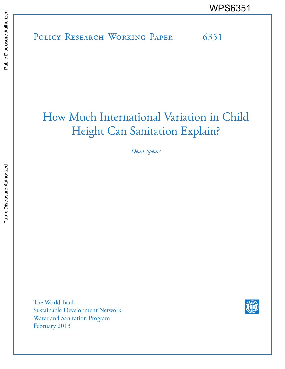# POLICY RESEARCH WORKING PAPER 6351 WPS6351<br>
Media<br>
Media<br>
Band<br>
Band<br>
Band<br>
Band<br>
Band<br>
Band<br>
Band<br>
Band<br>
Band<br>
Band<br>
Band<br>
Band<br>
Band<br>
Band<br>
Band<br>
Band<br>
Band<br>
Band<br>
Band<br>
Band<br>
Band<br>
Band<br>
Band<br>
Band<br>
Band<br>
Band<br>
Band<br>
Band<br>
Band<br>
Band<br>
Band<br>
Band<br>
Band<br>
B

# How Much International Variation in Child Height Can Sanitation Explain?

*Dean Spears*

The World Bank Sustainable Development Network Water and Sanitation Program February 2013

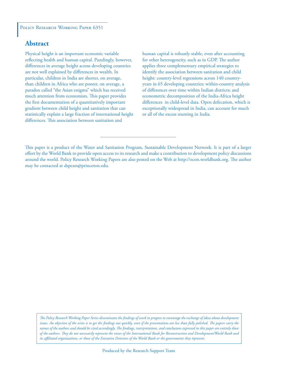#### POLICY RESEARCH WORKING PAPER 6351

### **Abstract**

Physical height is an important economic variable reflecting health and human capital. Puzzlingly, however, differences in average height across developing countries are not well explained by differences in wealth. In particular, children in India are shorter, on average, than children in Africa who are poorer, on average, a paradox called "the Asian enigma" which has received much attention from economists. This paper provides the first documentation of a quantitatively important gradient between child height and sanitation that can statistically explain a large fraction of international height differences. This association between sanitation and

human capital is robustly stable, even after accounting for other heterogeneity, such as in GDP. The author applies three complementary empirical strategies to identify the association between sanitation and child height: country-level regressions across 140 countryyears in 65 developing countries; within-country analysis of differences over time within Indian districts; and econometric decomposition of the India-Africa height differences in child-level data. Open defecation, which is exceptionally widespread in India, can account for much or all of the excess stunting in India.

This paper is a product of the Water and Sanitation Program, Sustainable Development Network. It is part of a larger effort by the World Bank to provide open access to its research and make a contribution to development policy discussions around the world. Policy Research Working Papers are also posted on the Web at http://econ.worldbank.org. The author may be contacted at dspears@princeton.edu.

*The Policy Research Working Paper Series disseminates the findings of work in progress to encourage the exchange of ideas about development*  issues. An objective of the series is to get the findings out quickly, even if the presentations are less than fully polished. The papers carry the *names of the authors and should be cited accordingly. The findings, interpretations, and conclusions expressed in this paper are entirely those of the authors. They do not necessarily represent the views of the International Bank for Reconstruction and Development/World Bank and its affiliated organizations, or those of the Executive Directors of the World Bank or the governments they represent.*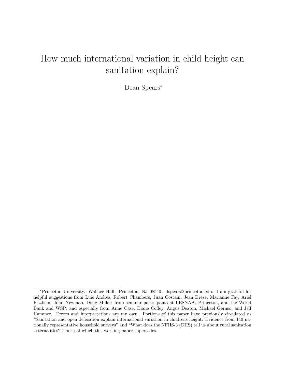# How much international variation in child height can sanitation explain?

Dean Spears<sup>∗</sup>

<sup>∗</sup>Princeton University. Wallace Hall. Princeton, NJ 08540. dspears@princeton.edu. I am grateful for helpful suggestions from Luis Andres, Robert Chambers, Juan Costain, Jean Drèze, Marianne Fay, Ariel Fiszbein, John Newman, Doug Miller; from seminar participants at LBSNAA, Princeton, and the World Bank and WSP; and especially from Anne Case, Diane Coffey, Angus Deaton, Michael Geruso, and Jeff Hammer. Errors and interpretations are my own. Portions of this paper have previously circulated as "Sanitation and open defecation explain international variation in childrens height: Evidence from 140 nationally representative household surveys" and "What does the NFHS-3 (DHS) tell us about rural sanitation externalities?," both of which this working paper supersedes.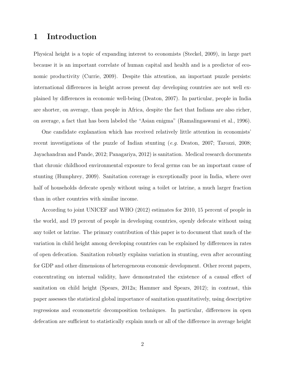# 1 Introduction

Physical height is a topic of expanding interest to economists (Steckel, 2009), in large part because it is an important correlate of human capital and health and is a predictor of economic productivity (Currie, 2009). Despite this attention, an important puzzle persists: international differences in height across present day developing countries are not well explained by differences in economic well-being (Deaton, 2007). In particular, people in India are shorter, on average, than people in Africa, despite the fact that Indians are also richer, on average, a fact that has been labeled the "Asian enigma" (Ramalingaswami et al., 1996).

One candidate explanation which has received relatively little attention in economists' recent investigations of the puzzle of Indian stunting (e.g. Deaton, 2007; Tarozzi, 2008; Jayachandran and Pande, 2012; Panagariya, 2012) is sanitation. Medical research documents that chronic childhood environmental exposure to fecal germs can be an important cause of stunting (Humphrey, 2009). Sanitation coverage is exceptionally poor in India, where over half of households defecate openly without using a toilet or latrine, a much larger fraction than in other countries with similar income.

According to joint UNICEF and WHO (2012) estimates for 2010, 15 percent of people in the world, and 19 percent of people in developing countries, openly defecate without using any toilet or latrine. The primary contribution of this paper is to document that much of the variation in child height among developing countries can be explained by differences in rates of open defecation. Sanitation robustly explains variation in stunting, even after accounting for GDP and other dimensions of heterogeneous economic development. Other recent papers, concentrating on internal validity, have demonstrated the existence of a causal effect of sanitation on child height (Spears, 2012a; Hammer and Spears, 2012); in contrast, this paper assesses the statistical global importance of sanitation quantitatively, using descriptive regressions and econometric decomposition techniques. In particular, differences in open defecation are sufficient to statistically explain much or all of the difference in average height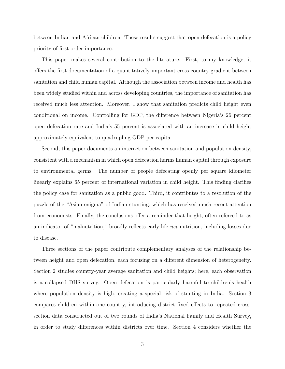between Indian and African children. These results suggest that open defecation is a policy priority of first-order importance.

This paper makes several contribution to the literature. First, to my knowledge, it offers the first documentation of a quantitatively important cross-country gradient between sanitation and child human capital. Although the association between income and health has been widely studied within and across developing countries, the importance of sanitation has received much less attention. Moreover, I show that sanitation predicts child height even conditional on income. Controlling for GDP, the difference between Nigeria's 26 percent open defecation rate and India's 55 percent is associated with an increase in child height approximately equivalent to quadrupling GDP per capita.

Second, this paper documents an interaction between sanitation and population density, consistent with a mechanism in which open defecation harms human capital through exposure to environmental germs. The number of people defecating openly per square kilometer linearly explains 65 percent of international variation in child height. This finding clarifies the policy case for sanitation as a public good. Third, it contributes to a resolution of the puzzle of the "Asian enigma" of Indian stunting, which has received much recent attention from economists. Finally, the conclusions offer a reminder that height, often refereed to as an indicator of "malnutrition," broadly reflects early-life net nutrition, including losses due to disease.

Three sections of the paper contribute complementary analyses of the relationship between height and open defecation, each focusing on a different dimension of heterogeneity. Section 2 studies country-year average sanitation and child heights; here, each observation is a collapsed DHS survey. Open defecation is particularly harmful to children's health where population density is high, creating a special risk of stunting in India. Section 3 compares children within one country, introducing district fixed effects to repeated crosssection data constructed out of two rounds of India's National Family and Health Survey, in order to study differences within districts over time. Section 4 considers whether the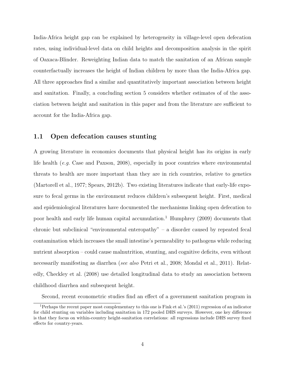India-Africa height gap can be explained by heterogeneity in village-level open defecation rates, using individual-level data on child heights and decomposition analysis in the spirit of Oaxaca-Blinder. Reweighting Indian data to match the sanitation of an African sample counterfactually increases the height of Indian children by more than the India-Africa gap. All three approaches find a similar and quantitatively important association between height and sanitation. Finally, a concluding section 5 considers whether estimates of of the association between height and sanitation in this paper and from the literature are sufficient to account for the India-Africa gap.

#### 1.1 Open defecation causes stunting

A growing literature in economics documents that physical height has its origins in early life health (e.g. Case and Paxson, 2008), especially in poor countries where environmental threats to health are more important than they are in rich countries, relative to genetics (Martorell et al., 1977; Spears, 2012b). Two existing literatures indicate that early-life exposure to fecal germs in the environment reduces children's subsequent height. First, medical and epidemiological literatures have documented the mechanisms linking open defecation to poor health and early life human capital accumulation.<sup>1</sup> Humphrey  $(2009)$  documents that chronic but subclinical "environmental enteropathy" – a disorder caused by repeated fecal contamination which increases the small intestine's permeability to pathogens while reducing nutrient absorption – could cause malnutrition, stunting, and cognitive deficits, even without necessarily manifesting as diarrhea (see also Petri et al., 2008; Mondal et al., 2011). Relatedly, Checkley et al. (2008) use detailed longitudinal data to study an association between childhood diarrhea and subsequent height.

Second, recent econometric studies find an effect of a government sanitation program in

<sup>1</sup>Perhaps the recent paper most complementary to this one is Fink et al.'s (2011) regression of an indicator for child stunting on variables including sanitation in 172 pooled DHS surveys. However, one key difference is that they focus on within-country height-sanitation correlations: all regressions include DHS survey fixed effects for country-years.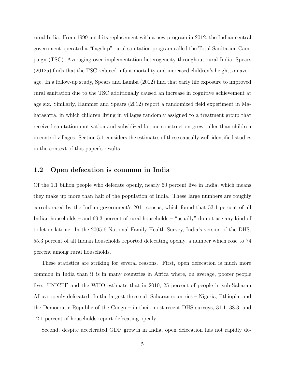rural India. From 1999 until its replacement with a new program in 2012, the Indian central government operated a "flagship" rural sanitation program called the Total Sanitation Campaign (TSC). Averaging over implementation heterogeneity throughout rural India, Spears (2012a) finds that the TSC reduced infant mortality and increased children's height, on average. In a follow-up study, Spears and Lamba (2012) find that early life exposure to improved rural sanitation due to the TSC additionally caused an increase in cognitive achievement at age six. Similarly, Hammer and Spears (2012) report a randomized field experiment in Maharashtra, in which children living in villages randomly assigned to a treatment group that received sanitation motivation and subsidized latrine construction grew taller than children in control villages. Section 5.1 considers the estimates of these causally well-identified studies in the context of this paper's results.

#### 1.2 Open defecation is common in India

Of the 1.1 billion people who defecate openly, nearly 60 percent live in India, which means they make up more than half of the population of India. These large numbers are roughly corroborated by the Indian government's 2011 census, which found that 53.1 percent of all Indian households – and 69.3 percent of rural households – "usually" do not use any kind of toilet or latrine. In the 2005-6 National Family Health Survey, India's version of the DHS, 55.3 percent of all Indian households reported defecating openly, a number which rose to 74 percent among rural households.

These statistics are striking for several reasons. First, open defecation is much more common in India than it is in many countries in Africa where, on average, poorer people live. UNICEF and the WHO estimate that in 2010, 25 percent of people in sub-Saharan Africa openly defecated. In the largest three sub-Saharan countries – Nigeria, Ethiopia, and the Democratic Republic of the Congo – in their most recent DHS surveys, 31.1, 38.3, and 12.1 percent of households report defecating openly.

Second, despite accelerated GDP growth in India, open defecation has not rapidly de-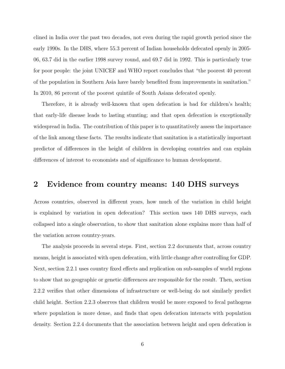clined in India over the past two decades, not even during the rapid growth period since the early 1990s. In the DHS, where 55.3 percent of Indian households defecated openly in 2005- 06, 63.7 did in the earlier 1998 survey round, and 69.7 did in 1992. This is particularly true for poor people: the joint UNICEF and WHO report concludes that "the poorest 40 percent of the population in Southern Asia have barely benefited from improvements in sanitation." In 2010, 86 percent of the poorest quintile of South Asians defecated openly.

Therefore, it is already well-known that open defecation is bad for children's health; that early-life disease leads to lasting stunting; and that open defecation is exceptionally widespread in India. The contribution of this paper is to quantitatively assess the importance of the link among these facts. The results indicate that sanitation is a statistically important predictor of differences in the height of children in developing countries and can explain differences of interest to economists and of significance to human development.

# 2 Evidence from country means: 140 DHS surveys

Across countries, observed in different years, how much of the variation in child height is explained by variation in open defecation? This section uses 140 DHS surveys, each collapsed into a single observation, to show that sanitation alone explains more than half of the variation across country-years.

The analysis proceeds in several steps. First, section 2.2 documents that, across country means, height is associated with open defecation, with little change after controlling for GDP. Next, section 2.2.1 uses country fixed effects and replication on sub-samples of world regions to show that no geographic or genetic differences are responsible for the result. Then, section 2.2.2 verifies that other dimensions of infrastructure or well-being do not similarly predict child height. Section 2.2.3 observes that children would be more exposed to fecal pathogens where population is more dense, and finds that open defecation interacts with population density. Section 2.2.4 documents that the association between height and open defecation is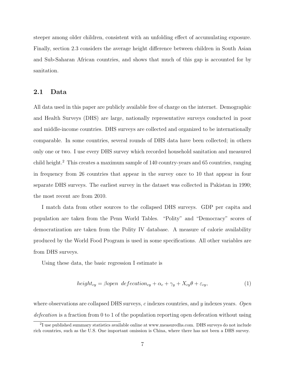steeper among older children, consistent with an unfolding effect of accumulating exposure. Finally, section 2.3 considers the average height difference between children in South Asian and Sub-Saharan African countries, and shows that much of this gap is accounted for by sanitation.

#### 2.1 Data

All data used in this paper are publicly available free of charge on the internet. Demographic and Health Surveys (DHS) are large, nationally representative surveys conducted in poor and middle-income countries. DHS surveys are collected and organized to be internationally comparable. In some countries, several rounds of DHS data have been collected; in others only one or two. I use every DHS survey which recorded household sanitation and measured child height.<sup>2</sup> This creates a maximum sample of 140 country-years and 65 countries, ranging in frequency from 26 countries that appear in the survey once to 10 that appear in four separate DHS surveys. The earliest survey in the dataset was collected in Pakistan in 1990; the most recent are from 2010.

I match data from other sources to the collapsed DHS surveys. GDP per capita and population are taken from the Penn World Tables. "Polity" and "Democracy" scores of democratization are taken from the Polity IV database. A measure of calorie availability produced by the World Food Program is used in some specifications. All other variables are from DHS surveys.

Using these data, the basic regression I estimate is

$$
height_{cy} = \beta open \ defecation_{cy} + \alpha_c + \gamma_y + X_{cy}\theta + \varepsilon_{cy},
$$
\n(1)

where observations are collapsed DHS surveys,  $c$  indexes countries, and  $y$  indexes years. Open defecation is a fraction from 0 to 1 of the population reporting open defecation without using

<sup>&</sup>lt;sup>2</sup>I use published summary statistics available online at www.measuredhs.com. DHS surveys do not include rich countries, such as the U.S. One important omission is China, where there has not been a DHS survey.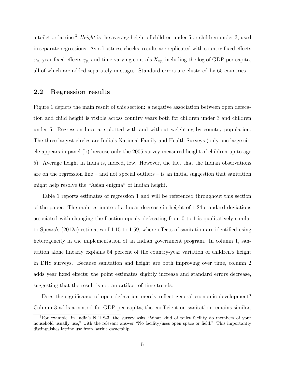a toilet or latrine.<sup>3</sup> Height is the average height of children under 5 or children under 3, used in separate regressions. As robustness checks, results are replicated with country fixed effects  $\alpha_c$ , year fixed effects  $\gamma_y$ , and time-varying controls  $X_{cy}$ , including the log of GDP per capita, all of which are added separately in stages. Standard errors are clustered by 65 countries.

#### 2.2 Regression results

Figure 1 depicts the main result of this section: a negative association between open defecation and child height is visible across country years both for children under 3 and children under 5. Regression lines are plotted with and without weighting by country population. The three largest circles are India's National Family and Health Surveys (only one large circle appears in panel (b) because only the 2005 survey measured height of children up to age 5). Average height in India is, indeed, low. However, the fact that the Indian observations are on the regression line – and not special outliers – is an initial suggestion that sanitation might help resolve the "Asian enigma" of Indian height.

Table 1 reports estimates of regression 1 and will be referenced throughout this section of the paper. The main estimate of a linear decrease in height of 1.24 standard deviations associated with changing the fraction openly defecating from 0 to 1 is qualitatively similar to Spears's (2012a) estimates of 1.15 to 1.59, where effects of sanitation are identified using heterogeneity in the implementation of an Indian government program. In column 1, sanitation alone linearly explains 54 percent of the country-year variation of children's height in DHS surveys. Because sanitation and height are both improving over time, column 2 adds year fixed effects; the point estimates slightly increase and standard errors decrease, suggesting that the result is not an artifact of time trends.

Does the significance of open defecation merely reflect general economic development? Column 3 adds a control for GDP per capita; the coefficient on sanitation remains similar,

<sup>3</sup>For example, in India's NFHS-3, the survey asks "What kind of toilet facility do members of your household usually use," with the relevant answer "No facility/uses open space or field." This importantly distinguishes latrine use from latrine ownership.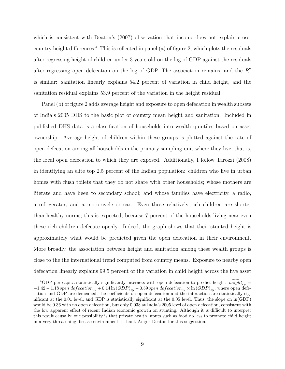which is consistent with Deaton's (2007) observation that income does not explain crosscountry height differences.<sup>4</sup> This is reflected in panel (a) of figure 2, which plots the residuals after regressing height of children under 3 years old on the log of GDP against the residuals after regressing open defecation on the log of GDP. The association remains, and the  $R^2$ is similar: sanitation linearly explains 54.2 percent of variation in child height, and the sanitation residual explains 53.9 percent of the variation in the height residual.

Panel (b) of figure 2 adds average height and exposure to open defecation in wealth subsets of India's 2005 DHS to the basic plot of country mean height and sanitation. Included in published DHS data is a classification of households into wealth quintiles based on asset ownership. Average height of children within these groups is plotted against the rate of open defecation among all households in the primary sampling unit where they live, that is, the local open defecation to which they are exposed. Additionally, I follow Tarozzi (2008) in identifying an elite top 2.5 percent of the Indian population: children who live in urban homes with flush toilets that they do not share with other households; whose mothers are literate and have been to secondary school; and whose families have electricity, a radio, a refrigerator, and a motorcycle or car. Even these relatively rich children are shorter than healthy norms; this is expected, because 7 percent of the households living near even these rich children defecate openly. Indeed, the graph shows that their stunted height is approximately what would be predicted given the open defecation in their environment. More broadly, the association between height and sanitation among these wealth groups is close to the the international trend computed from country means. Exposure to nearby open defecation linearly explains 99.5 percent of the variation in child height across the five asset

<sup>&</sup>lt;sup>4</sup>GDP per capita statistically significantly interacts with open defecation to predict height:  $heig\overline{ht}_{cu}$  $-1.42-1.18$  open  $defecation_{cy} + 0.14 \ln (GDP)_{cy} - 0.59$  open  $defecation_{cy} \times \ln (GDP)_{cy}$ , where open defecation and GDP are demeaned, the coefficients on open defecation and the interaction are statistically significant at the 0.01 level, and GDP is statistically significant at the 0.05 level. Thus, the slope on ln(GDP) would be 0.36 with no open defecation, but only 0.038 at India's 2005 level of open defecation, consistent with the low apparent effect of recent Indian economic growth on stunting. Although it is difficult to interpret this result causally, one possibility is that private health inputs such as food do less to promote child height in a very threatening disease environment; I thank Angus Deaton for this suggestion.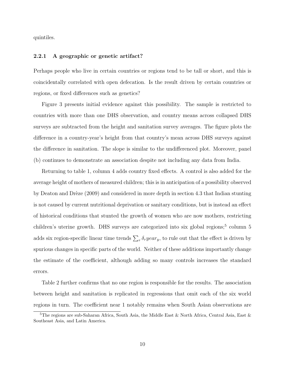quintiles.

#### 2.2.1 A geographic or genetic artifact?

Perhaps people who live in certain countries or regions tend to be tall or short, and this is coincidentally correlated with open defecation. Is the result driven by certain countries or regions, or fixed differences such as genetics?

Figure 3 presents initial evidence against this possibility. The sample is restricted to countries with more than one DHS observation, and country means across collapsed DHS surveys are subtracted from the height and sanitation survey averages. The figure plots the difference in a country-year's height from that country's mean across DHS surveys against the difference in sanitation. The slope is similar to the undifferenced plot. Moreover, panel (b) continues to demonstrate an association despite not including any data from India.

Returning to table 1, column 4 adds country fixed effects. A control is also added for the average height of mothers of measured children; this is in anticipation of a possibility observed by Deaton and Drèze (2009) and considered in more depth in section 4.3 that Indian stunting is not caused by current nutritional deprivation or sanitary conditions, but is instead an effect of historical conditions that stunted the growth of women who are now mothers, restricting children's uterine growth. DHS surveys are categorized into six global regions;<sup>5</sup> column 5 adds six region-specific linear time trends  $\sum_{r} \delta_r year_y$ , to rule out that the effect is driven by spurious changes in specific parts of the world. Neither of these additions importantly change the estimate of the coefficient, although adding so many controls increases the standard errors.

Table 2 further confirms that no one region is responsible for the results. The association between height and sanitation is replicated in regressions that omit each of the six world regions in turn. The coefficient near 1 notably remains when South Asian observations are

 $5$ The regions are sub-Saharan Africa, South Asia, the Middle East & North Africa, Central Asia, East & Southeast Asia, and Latin America.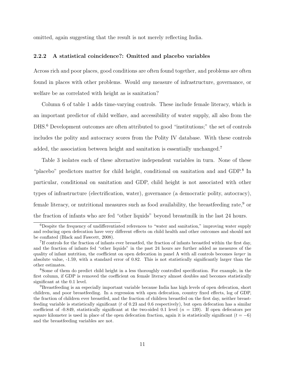omitted, again suggesting that the result is not merely reflecting India.

#### 2.2.2 A statistical coincidence?: Omitted and placebo variables

Across rich and poor places, good conditions are often found together, and problems are often found in places with other problems. Would any measure of infrastructure, governance, or welfare be as correlated with height as is sanitation?

Column 6 of table 1 adds time-varying controls. These include female literacy, which is an important predictor of child welfare, and accessibility of water supply, all also from the DHS.<sup>6</sup> Development outcomes are often attributed to good "institutions;" the set of controls includes the polity and autocracy scores from the Polity IV database. With these controls added, the association between height and sanitation is essentially unchanged.<sup>7</sup>

Table 3 isolates each of these alternative independent variables in turn. None of these "placebo" predictors matter for child height, conditional on sanitation and and GDP.<sup>8</sup> In particular, conditional on sanitation and GDP, child height is not associated with other types of infrastructure (electrification, water), governance (a democratic polity, autocracy), female literacy, or nutritional measures such as food availability, the breastfeeding rate,  $9$  or the fraction of infants who are fed "other liquids" beyond breastmilk in the last 24 hours.

<sup>6</sup>Despite the frequency of undifferentiated references to "water and sanitation," improving water supply and reducing open defecation have very different effects on child health and other outcomes and should not be conflated (Black and Fawcett, 2008).

<sup>&</sup>lt;sup>7</sup>If controls for the fraction of infants ever breastfed, the fraction of infants breastfed within the first day, and the fraction of infants fed "other liquids" in the past 24 hours are further added as measures of the quality of infant nutrition, the coefficient on open defecation in panel A with all controls becomes larger in absolute value, -1.59, with a standard error of 0.82. This is not statistically significantly larger than the other estimates.

<sup>8</sup>Some of them do predict child height in a less thoroughly controlled specification. For example, in the first column, if GDP is removed the coefficient on female literacy almost doubles and becomes statistically significant at the 0.1 level.

<sup>9</sup>Breastfeeding is an especially important variable because India has high levels of open defecation, short children, and poor breastfeeding. In a regression with open defecation, country fixed effects, log of GDP, the fraction of children ever breastfed, and the fraction of children breastfed on the first day, neither breastfeeding variable is statistically significant ( $t$  of 0.23 and 0.6 respectively), but open defecation has a similar coefficient of -0.849, statistically significant at the two-sided 0.1 level  $(n = 139)$ . If open defecators per square kilometer is used in place of the open defecation fraction, again it is statistically significant  $(t = -6)$ and the breastfeeding variables are not.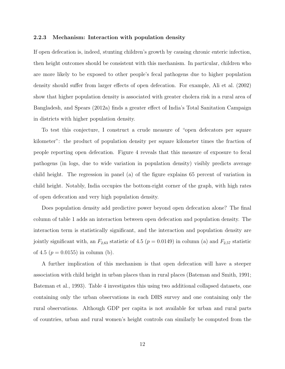#### 2.2.3 Mechanism: Interaction with population density

If open defecation is, indeed, stunting children's growth by causing chronic enteric infection, then height outcomes should be consistent with this mechanism. In particular, children who are more likely to be exposed to other people's fecal pathogens due to higher population density should suffer from larger effects of open defecation. For example, Ali et al. (2002) show that higher population density is associated with greater cholera risk in a rural area of Bangladesh, and Spears (2012a) finds a greater effect of India's Total Sanitation Campaign in districts with higher population density.

To test this conjecture, I construct a crude measure of "open defecators per square kilometer": the product of population density per square kilometer times the fraction of people reporting open defecation. Figure 4 reveals that this measure of exposure to fecal pathogens (in logs, due to wide variation in population density) visibly predicts average child height. The regression in panel (a) of the figure explains 65 percent of variation in child height. Notably, India occupies the bottom-right corner of the graph, with high rates of open defecation and very high population density.

Does population density add predictive power beyond open defecation alone? The final column of table 1 adds an interaction between open defecation and population density. The interaction term is statistically significant, and the interaction and population density are jointly significant with, an  $F_{2,63}$  statistic of 4.5 ( $p = 0.0149$ ) in column (a) and  $F_{2,57}$  statistic of 4.5 ( $p = 0.0155$ ) in column (b).

A further implication of this mechanism is that open defecation will have a steeper association with child height in urban places than in rural places (Bateman and Smith, 1991; Bateman et al., 1993). Table 4 investigates this using two additional collapsed datasets, one containing only the urban observations in each DHS survey and one containing only the rural observations. Although GDP per capita is not available for urban and rural parts of countries, urban and rural women's height controls can similarly be computed from the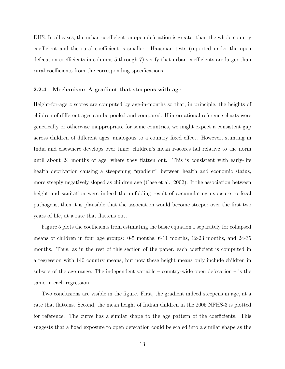DHS. In all cases, the urban coefficient on open defecation is greater than the whole-country coefficient and the rural coefficient is smaller. Hausman tests (reported under the open defecation coefficients in columns 5 through 7) verify that urban coefficients are larger than rural coefficients from the corresponding specifications.

#### 2.2.4 Mechanism: A gradient that steepens with age

Height-for-age z scores are computed by age-in-months so that, in principle, the heights of children of different ages can be pooled and compared. If international reference charts were genetically or otherwise inappropriate for some countries, we might expect a consistent gap across children of different ages, analogous to a country fixed effect. However, stunting in India and elsewhere develops over time: children's mean z-scores fall relative to the norm until about 24 months of age, where they flatten out. This is consistent with early-life health deprivation causing a steepening "gradient" between health and economic status, more steeply negatively sloped as children age (Case et al., 2002). If the association between height and sanitation were indeed the unfolding result of accumulating exposure to fecal pathogens, then it is plausible that the association would become steeper over the first two years of life, at a rate that flattens out.

Figure 5 plots the coefficients from estimating the basic equation 1 separately for collapsed means of children in four age groups: 0-5 months, 6-11 months, 12-23 months, and 24-35 months. Thus, as in the rest of this section of the paper, each coefficient is computed in a regression with 140 country means, but now these height means only include children in subsets of the age range. The independent variable – country-wide open defecation – is the same in each regression.

Two conclusions are visible in the figure. First, the gradient indeed steepens in age, at a rate that flattens. Second, the mean height of Indian children in the 2005 NFHS-3 is plotted for reference. The curve has a similar shape to the age pattern of the coefficients. This suggests that a fixed exposure to open defecation could be scaled into a similar shape as the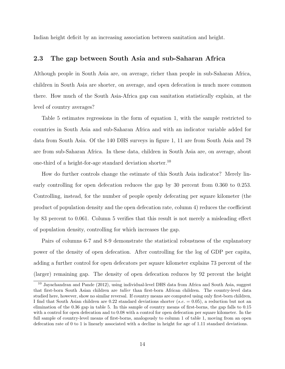Indian height deficit by an increasing association between sanitation and height.

#### 2.3 The gap between South Asia and sub-Saharan Africa

Although people in South Asia are, on average, richer than people in sub-Saharan Africa, children in South Asia are shorter, on average, and open defecation is much more common there. How much of the South Asia-Africa gap can sanitation statistically explain, at the level of country averages?

Table 5 estimates regressions in the form of equation 1, with the sample restricted to countries in South Asia and sub-Saharan Africa and with an indicator variable added for data from South Asia. Of the 140 DHS surveys in figure 1, 11 are from South Asia and 78 are from sub-Saharan Africa. In these data, children in South Asia are, on average, about one-third of a height-for-age standard deviation shorter.<sup>10</sup>

How do further controls change the estimate of this South Asia indicator? Merely linearly controlling for open defecation reduces the gap by 30 percent from 0.360 to 0.253. Controlling, instead, for the number of people openly defecating per square kilometer (the product of population density and the open defecation rate, column 4) reduces the coefficient by 83 percent to 0.061. Column 5 verifies that this result is not merely a misleading effect of population density, controlling for which increases the gap.

Pairs of columns 6-7 and 8-9 demonstrate the statistical robustness of the explanatory power of the density of open defecation. After controlling for the log of GDP per capita, adding a further control for open defecators per square kilometer explains 73 percent of the (larger) remaining gap. The density of open defecation reduces by 92 percent the height

<sup>10</sup> Jayachandran and Pande (2012), using individual-level DHS data from Africa and South Asia, suggest that first-born South Asian children are taller than first-born African children. The country-level data studied here, however, show no similar reversal. If country means are computed using only first-born children, I find that South Asian children are 0.22 standard deviations shorter (s.e.  $= 0.05$ ), a reduction but not an elimination of the 0.36 gap in table 5. In this sample of country means of first-borns, the gap falls to 0.15 with a control for open defecation and to 0.08 with a control for open defecation per square kilometer. In the full sample of country-level means of first-borns, analogously to column 1 of table 1, moving from an open defecation rate of 0 to 1 is linearly associated with a decline in height for age of 1.11 standard deviations.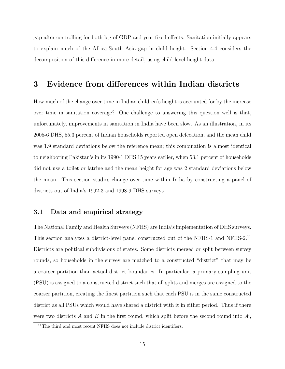gap after controlling for both log of GDP and year fixed effects. Sanitation initially appears to explain much of the Africa-South Asia gap in child height. Section 4.4 considers the decomposition of this difference in more detail, using child-level height data.

# 3 Evidence from differences within Indian districts

How much of the change over time in Indian children's height is accounted for by the increase over time in sanitation coverage? One challenge to answering this question well is that, unfortunately, improvements in sanitation in India have been slow. As an illustration, in its 2005-6 DHS, 55.3 percent of Indian households reported open defecation, and the mean child was 1.9 standard deviations below the reference mean; this combination is almost identical to neighboring Pakistan's in its 1990-1 DHS 15 years earlier, when 53.1 percent of households did not use a toilet or latrine and the mean height for age was 2 standard deviations below the mean. This section studies change over time within India by constructing a panel of districts out of India's 1992-3 and 1998-9 DHS surveys.

#### 3.1 Data and empirical strategy

The National Family and Health Surveys (NFHS) are India's implementation of DHS surveys. This section analyzes a district-level panel constructed out of the NFHS-1 and NFHS-2.<sup>11</sup> Districts are political subdivisions of states. Some districts merged or split between survey rounds, so households in the survey are matched to a constructed "district" that may be a coarser partition than actual district boundaries. In particular, a primary sampling unit (PSU) is assigned to a constructed district such that all splits and merges are assigned to the coarser partition, creating the finest partition such that each PSU is in the same constructed district as all PSUs which would have shared a district with it in either period. Thus if there were two districts  $A$  and  $B$  in the first round, which split before the second round into  $A'$ ,

 $^{11}\mathrm{The}$  third and most recent NFHS does not include district identifiers.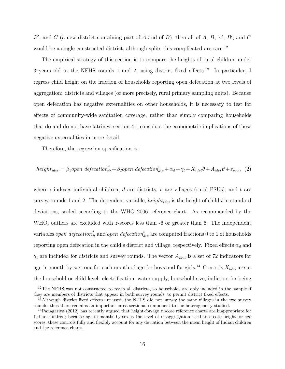B', and C (a new district containing part of A and of B), then all of A, B, A', B', and C would be a single constructed district, although splits this complicated are rare.<sup>12</sup>

The empirical strategy of this section is to compare the heights of rural children under 3 years old in the NFHS rounds 1 and 2, using district fixed effects.<sup>13</sup> In particular, I regress child height on the fraction of households reporting open defecation at two levels of aggregation: districts and villages (or more precisely, rural primary sampling units). Because open defecation has negative externalities on other households, it is necessary to test for effects of community-wide sanitation coverage, rather than simply comparing households that do and do not have latrines; section 4.1 considers the econometric implications of these negative externalities in more detail.

Therefore, the regression specification is:

$$
height_{idvt} = \beta_1 open \; deformation_{dt}^d + \beta_2 open \; deformation_{dvt}^v + \alpha_d + \gamma_t + X_{idvt}\theta + A_{idvt}\vartheta + \varepsilon_{idvt}, \tag{2}
$$

where i indexes individual children, d are districts, v are villages (rural PSUs), and t are survey rounds 1 and 2. The dependent variable,  $height_{idvt}$  is the height of child i in standard deviations, scaled according to the WHO 2006 reference chart. As recommended by the WHO, outliers are excluded with z-scores less than -6 or greater than 6. The independent variables *open defecation*<sup>d</sup><sub>dt</sub> and *open defecation*<sup>v</sup><sub>dvt</sub> are computed fractions 0 to 1 of households reporting open defecation in the child's district and village, respectively. Fixed effects  $\alpha_d$  and  $\gamma_t$  are included for districts and survey rounds. The vector  $A_{idvt}$  is a set of 72 indicators for age-in-month by sex, one for each month of age for boys and for girls.<sup>14</sup> Controls  $X_{idvt}$  are at the household or child level: electrification, water supply, household size, indictors for being

<sup>&</sup>lt;sup>12</sup>The NFHS was not constructed to reach all districts, so households are only included in the sample if they are members of districts that appear in both survey rounds, to permit district fixed effects.

<sup>&</sup>lt;sup>13</sup>Although district fixed effects are used, the NFHS did not survey the same villages in the two survey rounds; thus there remains an important cross-sectional component to the heterogeneity studied.

<sup>&</sup>lt;sup>14</sup>Panagariya (2012) has recently argued that height-for-age z score reference charts are inappropriate for Indian children; because age-in-months-by-sex is the level of disaggregation used to create height-for-age scores, these controls fully and flexibly account for any deviation between the mean height of Indian children and the reference charts.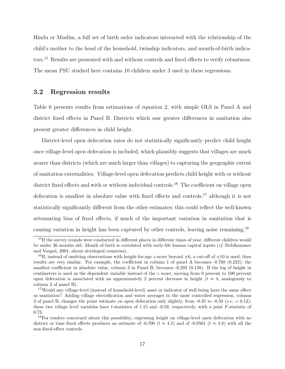Hindu or Muslim, a full set of birth order indicators interacted with the relationship of the child's mother to the head of the household, twinship indicators, and month-of-birth indicators.<sup>15</sup> Results are presented with and without controls and fixed effects to verify robustness. The mean PSU studied here contains 10 children under 3 used in these regressions.

#### 3.2 Regression results

Table 6 presents results from estimations of equation 2, with simple OLS in Panel A and district fixed effects in Panel B. Districts which saw greater differences in sanitation also present greater differences in child height.

District-level open defecation rates do not statistically significantly predict child height once village-level open defecation is included, which plausibly suggests that villages are much nearer than districts (which are much larger than villages) to capturing the geographic extent of sanitation externalities. Village-level open defecation predicts child height with or without district fixed effects and with or without individual controls.<sup>16</sup> The coefficient on village open defecation is smallest in absolute value with fixed effects and controls,<sup>17</sup> although it is not statistically significantly different from the other estimates; this could reflect the well-known attenuating bias of fixed effects, if much of the important variation in sanitation that is causing variation in height has been captured by other controls, leaving noise remaining.<sup>18</sup>

<sup>&</sup>lt;sup>15</sup>If the survey rounds were conducted in different places in different times of year, different children would be under 36 months old. Month of birth is correlated with early-life human capital inputs (cf. Doblhammer and Vaupel, 2001, about developed countries).

<sup>&</sup>lt;sup>16</sup>If, instead of omitting observations with height-for-age z-score beyond  $\pm 6$ , a cut-off of  $\pm 10$  is used, then results are very similar. For example, the coefficient in column 1 of panel A becomes -0.768 (0.222); the smallest coefficient in absolute value, column 3 in Panel B, becomes -0.292 (0.138). If the log of height in centimeters is used as the dependent variable instead of the z score, moving from 0 percent to 100 percent open defecation is associated with an approximately 2 percent decrease in height ( $t \approx 4$ , analogously to column 2 of panel B).

<sup>&</sup>lt;sup>17</sup>Would any village-level (instead of household-level) asset or indicator of well-being have the same effect as sanitation? Adding village electrification and water averages to the most controlled regression, column 3 of panel B, changes the point estimate on open defecation only slightly, from -0.35 to -0.33 (s.e.  $= 0.12$ ); these two village level variables have t-statistics of 1.15 and -0.59, respectively, with a joint F-statistic of 0.73.

<sup>&</sup>lt;sup>18</sup>For readers concerned about this possibility, regressing height on village-level open defecation with no district or time fixed effects produces an estimate of -0.700 ( $t \approx 4.5$ ) and of -0.0501 ( $t \approx 4.8$ ) with all the non-fixed-effect controls.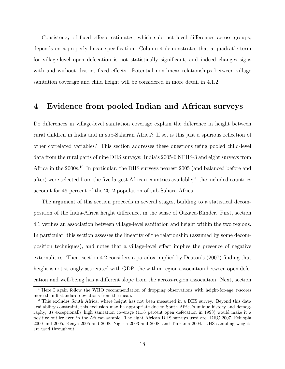Consistency of fixed effects estimates, which subtract level differences across groups, depends on a properly linear specification. Column 4 demonstrates that a quadratic term for village-level open defecation is not statistically significant, and indeed changes signs with and without district fixed effects. Potential non-linear relationships between village sanitation coverage and child height will be considered in more detail in 4.1.2.

# 4 Evidence from pooled Indian and African surveys

Do differences in village-level sanitation coverage explain the difference in height between rural children in India and in sub-Saharan Africa? If so, is this just a spurious reflection of other correlated variables? This section addresses these questions using pooled child-level data from the rural parts of nine DHS surveys: India's 2005-6 NFHS-3 and eight surveys from Africa in the 2000s.<sup>19</sup> In particular, the DHS surveys nearest 2005 (and balanced before and after) were selected from the five largest African countries available;<sup>20</sup> the included countries account for 46 percent of the 2012 population of sub-Sahara Africa.

The argument of this section proceeds in several stages, building to a statistical decomposition of the India-Africa height difference, in the sense of Oaxaca-Blinder. First, section 4.1 verifies an association between village-level sanitation and height within the two regions. In particular, this section assesses the linearity of the relationship (assumed by some decomposition techniques), and notes that a village-level effect implies the presence of negative externalities. Then, section 4.2 considers a paradox implied by Deaton's (2007) finding that height is not strongly associated with GDP: the within-region association between open defecation and well-being has a different slope from the across-region association. Next, section

<sup>&</sup>lt;sup>19</sup>Here I again follow the WHO recommendation of dropping observations with height-for-age  $z$ -scores more than 6 standard deviations from the mean.

<sup>&</sup>lt;sup>20</sup>This excludes South Africa, where height has not been measured in a DHS survey. Beyond this data availability constraint, this exclusion may be appropriate due to South Africa's unique history and demography; its exceptionally high sanitation coverage (11.6 percent open defecation in 1998) would make it a positive outlier even in the African sample. The eight African DHS surveys used are: DRC 2007, Ethiopia 2000 and 2005, Kenya 2005 and 2008, Nigeria 2003 and 2008, and Tanzania 2004. DHS sampling weights are used throughout.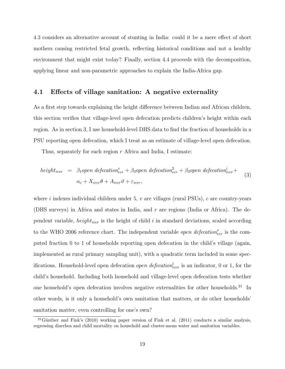4.3 considers an alternative account of stunting in India: could it be a mere effect of short mothers causing restricted fetal growth, reflecting historical conditions and not a healthy environment that might exist today? Finally, section 4.4 proceeds with the decomposition, applying linear and non-parametric approaches to explain the India-Africa gap.

#### 4.1 Effects of village sanitation: A negative externality

As a first step towards explaining the height difference between Indian and African children, this section verifies that village-level open defecation predicts children's height within each region. As in section 3, I use household-level DHS data to find the fraction of households in a PSU reporting open defecation, which I treat as an estimate of village-level open defecation.

Thus, separately for each region  $r$  Africa and India, I estimate:

$$
height_{iwr} = \beta_1 open \ defecation_{vcr}^v + \beta_3 open \ defecation_{vcr}^2 + \beta_3 open \ defecation_{ivcr}^i + \n\alpha_c + X_{ivcr}\theta + A_{ivcr}\vartheta + \varepsilon_{ivcr},
$$
\n(3)

where i indexes individual children under 5,  $v$  are villages (rural PSUs),  $c$  are country-years (DHS surveys) in Africa and states in India, and  $r$  are regions (India or Africa). The dependent variable,  $height_{ivcr}$  is the height of child i in standard deviations, scaled according to the WHO 2006 reference chart. The independent variable *open defecation*<sup>v</sup><sub>vcr</sub> is the computed fraction 0 to 1 of households reporting open defecation in the child's village (again, implemented as rural primary sampling unit), with a quadratic term included in some specifications. Household-level open defecation *open defecation*<sup>*i*</sup><sub>*ivcr*</sub> is an indicator, 0 or 1, for the child's household. Including both household and village-level open defecation tests whether one household's open defecation involves negative externalities for other households.<sup>21</sup> In other words, is it only a household's own sanitation that matters, or do other households' sanitation matter, even controlling for one's own?

<sup>&</sup>lt;sup>21</sup>Günther and Fink's (2010) working paper version of Fink et al. (2011) conducts a similar analysis, regressing diarrhea and child mortality on household and cluster-mean water and sanitation variables.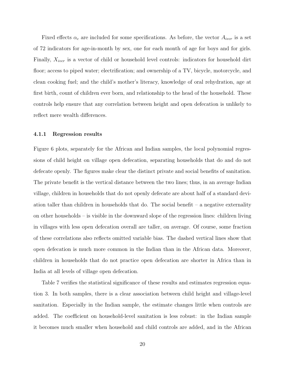Fixed effects  $\alpha_c$  are included for some specifications. As before, the vector  $A_{ivcr}$  is a set of 72 indicators for age-in-month by sex, one for each month of age for boys and for girls. Finally,  $X_{i\nu c r}$  is a vector of child or household level controls: indicators for household dirt floor; access to piped water; electrification; and ownership of a TV, bicycle, motorcycle, and clean cooking fuel; and the child's mother's literacy, knowledge of oral rehydration, age at first birth, count of children ever born, and relationship to the head of the household. These controls help ensure that any correlation between height and open defecation is unlikely to reflect mere wealth differences.

#### 4.1.1 Regression results

Figure 6 plots, separately for the African and Indian samples, the local polynomial regressions of child height on village open defecation, separating households that do and do not defecate openly. The figures make clear the distinct private and social benefits of sanitation. The private benefit is the vertical distance between the two lines; thus, in an average Indian village, children in households that do not openly defecate are about half of a standard deviation taller than children in households that do. The social benefit – a negative externality on other households – is visible in the downward slope of the regression lines: children living in villages with less open defecation overall are taller, on average. Of course, some fraction of these correlations also reflects omitted variable bias. The dashed vertical lines show that open defecation is much more common in the Indian than in the African data. Moreover, children in households that do not practice open defecation are shorter in Africa than in India at all levels of village open defecation.

Table 7 verifies the statistical significance of these results and estimates regression equation 3. In both samples, there is a clear association between child height and village-level sanitation. Especially in the Indian sample, the estimate changes little when controls are added. The coefficient on household-level sanitation is less robust: in the Indian sample it becomes much smaller when household and child controls are added, and in the African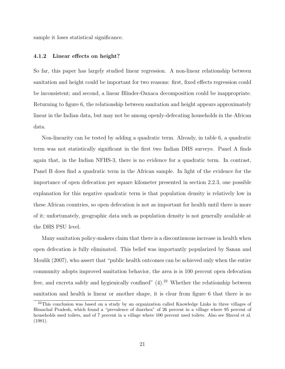sample it loses statistical significance.

#### 4.1.2 Linear effects on height?

So far, this paper has largely studied linear regression. A non-linear relationship between sanitation and height could be important for two reasons: first, fixed effects regression could be inconsistent; and second, a linear Blinder-Oaxaca decomposition could be inappropriate. Returning to figure 6, the relationship between sanitation and height appears approximately linear in the Indian data, but may not be among openly-defecating households in the African data.

Non-linearity can be tested by adding a quadratic term. Already, in table 6, a quadratic term was not statistically significant in the first two Indian DHS surveys. Panel A finds again that, in the Indian NFHS-3, there is no evidence for a quadratic term. In contrast, Panel B does find a quadratic term in the African sample. In light of the evidence for the importance of open defecation per square kilometer presented in section 2.2.3, one possible explanation for this negative quadratic term is that population density is relatively low in these African countries, so open defecation is not as important for health until there is more of it; unfortunately, geographic data such as population density is not generally available at the DHS PSU level.

Many sanitation policy-makers claim that there is a discontinuous increase in health when open defecation is fully eliminated. This belief was importantly popularized by Sanan and Moulik (2007), who assert that "public health outcomes can be achieved only when the entire community adopts improved sanitation behavior, the area is is 100 percent open defecation free, and excreta safely and hygienically confined"  $(4)$ .<sup>22</sup> Whether the relationship between sanitation and health is linear or another shape, it is clear from figure 6 that there is no

<sup>&</sup>lt;sup>22</sup>This conclusion was based on a study by an organization called Knowledge Links in three villages of Himachal Pradesh, which found a "prevalence of diarrhea" of 26 percent in a village where 95 percent of households used toilets, and of 7 percent in a village where 100 percent used toilets. Also see Shuval et al. (1981).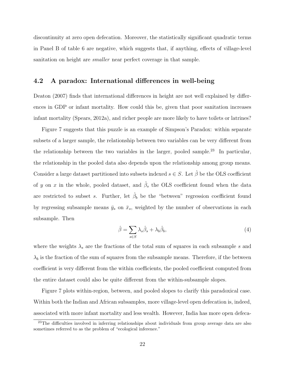discontinuity at zero open defecation. Moreover, the statistically significant quadratic terms in Panel B of table 6 are negative, which suggests that, if anything, effects of village-level sanitation on height are *smaller* near perfect coverage in that sample.

#### 4.2 A paradox: International differences in well-being

Deaton (2007) finds that international differences in height are not well explained by differences in GDP or infant mortality. How could this be, given that poor sanitation increases infant mortality (Spears, 2012a), and richer people are more likely to have toilets or latrines?

Figure 7 suggests that this puzzle is an example of Simpson's Paradox: within separate subsets of a larger sample, the relationship between two variables can be very different from the relationship between the two variables in the larger, pooled sample.<sup>23</sup> In particular, the relationship in the pooled data also depends upon the relationship among group means. Consider a large dataset partitioned into subsets indexed  $s \in S$ . Let  $\hat{\beta}$  be the OLS coefficient of y on x in the whole, pooled dataset, and  $\hat{\beta}_s$  the OLS coefficient found when the data are restricted to subset s. Further, let  $\hat{\beta}_b$  be the "between" regression coefficient found by regressing subsample means  $\bar{y}_s$  on  $\bar{x}_s$ , weighted by the number of observations in each subsample. Then

$$
\hat{\beta} = \sum_{s \in S} \lambda_s \hat{\beta}_s + \lambda_b \hat{\beta}_b,\tag{4}
$$

where the weights  $\lambda_s$  are the fractions of the total sum of squares in each subsample s and  $\lambda_b$  is the fraction of the sum of squares from the subsample means. Therefore, if the between coefficient is very different from the within coefficients, the pooled coefficient computed from the entire dataset could also be quite different from the within-subsample slopes.

Figure 7 plots within-region, between, and pooled slopes to clarify this paradoxical case. Within both the Indian and African subsamples, more village-level open defecation is, indeed, associated with more infant mortality and less wealth. However, India has more open defeca-

<sup>&</sup>lt;sup>23</sup>The difficulties involved in inferring relationships about individuals from group average data are also sometimes referred to as the problem of "ecological inference."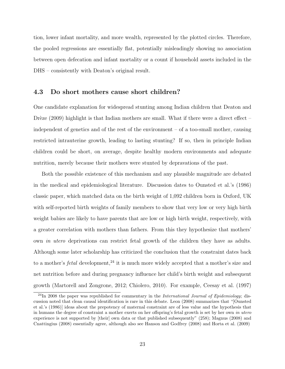tion, lower infant mortality, and more wealth, represented by the plotted circles. Therefore, the pooled regressions are essentially flat, potentially misleadingly showing no association between open defecation and infant mortality or a count if household assets included in the DHS – consistently with Deaton's original result.

#### 4.3 Do short mothers cause short children?

One candidate explanation for widespread stunting among Indian children that Deaton and Drèze (2009) highlight is that Indian mothers are small. What if there were a direct effect – independent of genetics and of the rest of the environment – of a too-small mother, causing restricted intrauterine growth, leading to lasting stunting? If so, then in principle Indian children could be short, on average, despite healthy modern environments and adequate nutrition, merely because their mothers were stunted by depravations of the past.

Both the possible existence of this mechanism and any plausible magnitude are debated in the medical and epidemiological literature. Discussion dates to Ounsted et al.'s (1986) classic paper, which matched data on the birth weight of 1,092 children born in Oxford, UK with self-reported birth weights of family members to show that very low or very high birth weight babies are likely to have parents that are low or high birth weight, respectively, with a greater correlation with mothers than fathers. From this they hypothesize that mothers' own in utero deprivations can restrict fetal growth of the children they have as adults. Although some later scholarship has criticized the conclusion that the constraint dates back to a mother's *fetal* development,  $24$  it is much more widely accepted that a mother's size and net nutrition before and during pregnancy influence her child's birth weight and subsequent growth (Martorell and Zongrone, 2012; Chiolero, 2010). For example, Ceesay et al. (1997)

<sup>&</sup>lt;sup>24</sup>In 2008 the paper was republished for commentary in the *International Journal of Epidemiology*; discussion noted that clean causal identification is rare in this debate. Leon (2008) summarizes that "[Ounsted et al.'s (1986)] ideas about the prepotency of maternal constraint are of less value and the hypothesis that in humans the degree of constraint a mother exerts on her offspring's fetal growth is set by her own in utero experience is not supported by [their] own data or that published subsequently" (258); Magnus (2008) and Cnattingius (2008) essentially agree, although also see Hanson and Godfrey (2008) and Horta et al. (2009)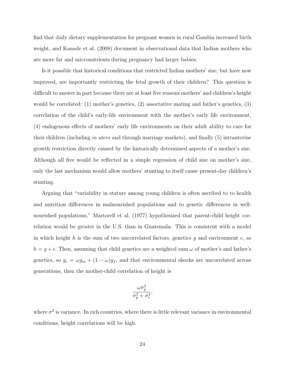find that daily dietary supplementation for pregnant women in rural Gambia increased birth weight, and Kanade et al. (2008) document in observational data that Indian mothers who ate more fat and micronutrients during pregnancy had larger babies.

Is it possible that historical conditions that restricted Indian mothers' size, but have now improved, are importantly restricting the fetal growth of their children? This question is difficult to answer in part because there are at least five reasons mothers' and children's height would be correlated: (1) mother's genetics, (2) assortative mating and father's genetics, (3) correlation of the child's early-life environment with the mother's early life environment, (4) endogenous effects of mothers' early life environments on their adult ability to care for their children (including in utero and through marriage markets), and finally (5) intrauterine growth restriction directly caused by the historically determined aspects of a mother's size. Although all five would be reflected in a simple regression of child size on mother's size, only the last mechanism would allow mothers' stunting to itself cause present-day children's stunting.

Arguing that "variability in stature among young children is often ascribed to to health and nutrition differences in malnourished populations and to genetic differences in wellnourished populations," Martorell et al. (1977) hypothesized that parent-child height correlation would be greater in the U.S. than in Guatemala. This is consistent with a model in which height h is the sum of two uncorrelated factors, genetics g and environment  $e$ , so  $h = g + e$ . Then, assuming that child genetics are a weighted sum  $\omega$  of mother's and father's genetics, so  $g_c = \omega g_m + (1 - \omega) g_f$ , and that environmental shocks are uncorrelated across generations, then the mother-child correlation of height is

$$
\frac{\omega \sigma_g^2}{\sigma_g^2 + \sigma_e^2},
$$

where  $\sigma^2$  is variance. In rich countries, where there is little relevant variance in environmental conditions, height correlations will be high.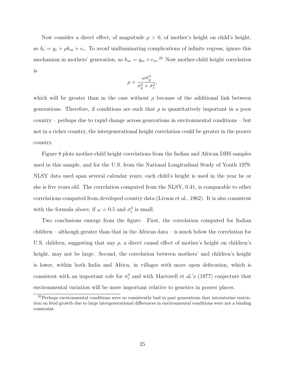Now consider a direct effect, of magnitude  $\rho > 0$ , of mother's height on child's height, so  $h_c = g_c + \rho h_m + e_c$ . To avoid unilluminating complications of infinite regress, ignore this mechanism in mothers' generation, so  $h_m = g_m + e_m$ <sup>25</sup> Now mother-child height correlation is

$$
\rho+\frac{\omega\sigma_g^2}{\sigma_g^2+\sigma_e^2},
$$

which will be greater than in the case without  $\rho$  because of the additional link between generations. Therefore, if conditions are such that  $\rho$  is quantitatively important in a poor country – perhaps due to rapid change across generations in environmental conditions – but not in a richer country, the intergenerational height correlation could be greater in the poorer country.

Figure 8 plots mother-child height correlations from the Indian and African DHS samples used in this sample, and for the U.S. from the National Longitudinal Study of Youth 1979. NLSY data used span several calendar years; each child's height is used in the year he or she is five years old. The correlation computed from the NLSY, 0.41, is comparable to other correlations computed from developed country data (Livson et al., 1962). It is also consistent with the formula above, if  $\omega = 0.5$  and  $\sigma_e^2$  is small.

Two conclusions emerge from the figure. First, the correlation computed for Indian children – although greater than that in the African data – is much below the correlation for U.S. children, suggesting that any  $\rho$ , a direct causal effect of mother's height on children's height, may not be large. Second, the correlation between mothers' and children's height is lower, within both India and Africa, in villages with more open defecation, which is consistent with an important role for  $\sigma_e^2$  and with Martorell et al.'s (1977) conjecture that environmental variation will be more important relative to genetics in poorer places.

<sup>25</sup>Perhaps environmental conditions were so consistently bad in past generations that intrauterine restriction on fetal growth due to large intergenerational differences in environmental conditions were not a binding constraint.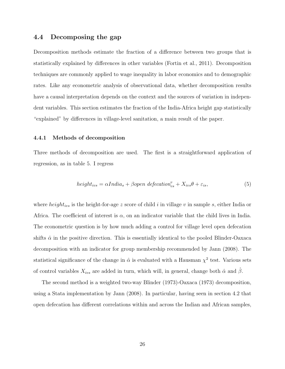#### 4.4 Decomposing the gap

Decomposition methods estimate the fraction of a difference between two groups that is statistically explained by differences in other variables (Fortin et al., 2011). Decomposition techniques are commonly applied to wage inequality in labor economics and to demographic rates. Like any econometric analysis of observational data, whether decomposition results have a causal interpretation depends on the context and the sources of variation in independent variables. This section estimates the fraction of the India-Africa height gap statistically "explained" by differences in village-level sanitation, a main result of the paper.

#### 4.4.1 Methods of decomposition

Three methods of decomposition are used. The first is a straightforward application of regression, as in table 5. I regress

$$
height_{ivs} = \alpha India_s + \beta open\ defecation_{vs}^{v} + X_{ivs}\theta + \varepsilon_{is},
$$
\n(5)

where  $height_{ivs}$  is the height-for-age z score of child i in village v in sample s, either India or Africa. The coefficient of interest is  $\alpha$ , on an indicator variable that the child lives in India. The econometric question is by how much adding a control for village level open defecation shifts  $\hat{\alpha}$  in the positive direction. This is essentially identical to the pooled Blinder-Oaxaca decomposition with an indicator for group membership recommended by Jann (2008). The statistical significance of the change in  $\hat{\alpha}$  is evaluated with a Hausman  $\chi^2$  test. Various sets of control variables  $X_{ivs}$  are added in turn, which will, in general, change both  $\hat{\alpha}$  and  $\hat{\beta}$ .

The second method is a weighted two-way Blinder (1973)-Oaxaca (1973) decomposition, using a Stata implementation by Jann (2008). In particular, having seen in section 4.2 that open defecation has different correlations within and across the Indian and African samples,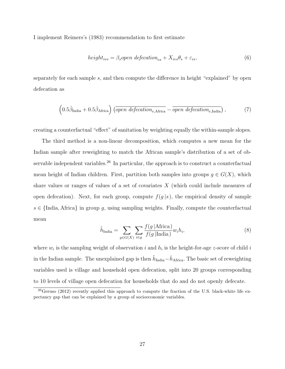I implement Reimers's (1983) recommendation to first estimate

$$
height_{iv s} = \beta_s open \ defecation_{vs} + X_{iv s} \theta_s + \varepsilon_{is}, \tag{6}
$$

separately for each sample s, and then compute the difference in height "explained" by open defecation as

$$
\left(0.5\hat{\beta}_{\text{India}} + 0.5\hat{\beta}_{\text{Africa}}\right)\left(\overline{open\,\,defecation_{v,\text{Africa}}}-\overline{open\,\,defecation_{v,\text{India}}}\right),\tag{7}
$$

creating a counterfactual "effect" of sanitation by weighting equally the within-sample slopes.

The third method is a non-linear decomposition, which computes a new mean for the Indian sample after reweighting to match the African sample's distribution of a set of observable independent variables.<sup>26</sup> In particular, the approach is to construct a counterfactual mean height of Indian children. First, partition both samples into groups  $g \in G(X)$ , which share values or ranges of values of a set of covariates  $X$  (which could include measures of open defecation). Next, for each group, compute  $f(g|s)$ , the empirical density of sample  $s \in \{\text{India}, \text{Africa}\}\$ in group q, using sampling weights. Finally, compute the counterfactual mean

$$
\tilde{h}_{\text{India}} = \sum_{g \in G(X)} \sum_{i \in g} \frac{f(g \mid \text{Africa})}{f(g \mid \text{India})} w_i h_i,\tag{8}
$$

where  $w_i$  is the sampling weight of observation i and  $h_i$  is the height-for-age z-score of child i in the Indian sample. The unexplained gap is then  $\tilde{h}_{\text{India}} - \bar{h}_{\text{Africa}}$ . The basic set of reweighting variables used is village and household open defecation, split into 20 groups corresponding to 10 levels of village open defecation for households that do and do not openly defecate.

 $^{26}$ Geruso (2012) recently applied this approach to compute the fraction of the U.S. black-white life expectancy gap that can be explained by a group of socioeconomic variables.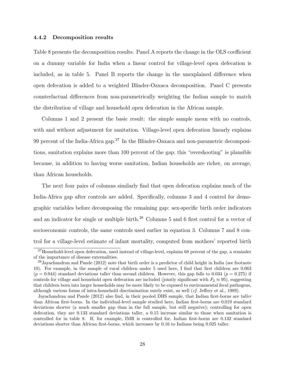#### 4.4.2 Decomposition results

Table 8 presents the decomposition results. Panel A reports the change in the OLS coefficient on a dummy variable for India when a linear control for village-level open defecation is included, as in table 5. Panel B reports the change in the unexplained difference when open defecation is added to a weighted Blinder-Oaxaca decomposition. Panel C presents counterfactual differences from non-parametrically weighting the Indian sample to match the distribution of village and household open defecation in the African sample.

Columns 1 and 2 present the basic result: the simple sample mean with no controls, with and without adjustment for sanitation. Village-level open defecation linearly explains 99 percent of the India-Africa gap.<sup>27</sup> In the Blinder-Oaxaca and non-parametric decompositions, sanitation explains more than 100 percent of the gap; this "overshooting" is plausible because, in addition to having worse sanitation, Indian households are richer, on average, than African households.

The next four pairs of columns similarly find that open defecation explains much of the India-Africa gap after controls are added. Specifically, columns 3 and 4 control for demographic variables before decomposing the remaining gap: sex-specific birth order indicators and an indicator for single or multiple birth.<sup>28</sup> Columns 5 and 6 first control for a vector of socioeconomic controls, the same controls used earlier in equation 3. Columns 7 and 8 control for a village-level estimate of infant mortality, computed from mothers' reported birth

<sup>&</sup>lt;sup>27</sup>Household-level open defecation, used instead of village-level, explains 68 percent of the gap, a reminder of the importance of disease externalities.

<sup>&</sup>lt;sup>28</sup> Jayachandran and Pande (2012) note that birth order is a predictor of child height in India (see footnote 10). For example, in the sample of rural children under 5 used here, I find that first children are 0.063  $(p = 0.044)$  standard deviations taller than second children. However, this gap falls to 0.034 ( $p = 0.275$ ) if controls for village and household open defecation are included (jointly significant with  $F_2 \approx 95$ ), suggesting that children born into larger households may be more likely to be exposed to environmental fecal pathogens, although various forms of intra-household discrimination surely exist, as well (cf. Jeffery et al., 1989).

Jayachandran and Pande (2012) also find, in their pooled DHS sample, that Indian first-borns are taller than African first-borns. In the individual-level sample studied here, Indian first-borns are 0.019 standard deviations shorter (a much smaller gap than in the full sample, but still negative); controlling for open defecation, they are 0.133 standard deviations taller, a 0.15 increase similar to those when sanitation is controlled for in table 8. If, for example, IMR is controlled for, Indian first-borns are 0.132 standard deviations shorter than African first-borns, which increases by 0.16 to Indians being 0.025 taller.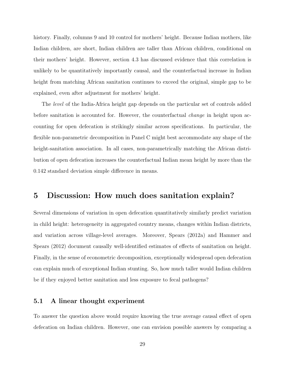history. Finally, columns 9 and 10 control for mothers' height. Because Indian mothers, like Indian children, are short, Indian children are taller than African children, conditional on their mothers' height. However, section 4.3 has discussed evidence that this correlation is unlikely to be quantitatively importantly causal, and the counterfactual increase in Indian height from matching African sanitation continues to exceed the original, simple gap to be explained, even after adjustment for mothers' height.

The level of the India-Africa height gap depends on the particular set of controls added before sanitation is accounted for. However, the counterfactual *change* in height upon accounting for open defecation is strikingly similar across specifications. In particular, the flexible non-parametric decomposition in Panel C might best accommodate any shape of the height-sanitation association. In all cases, non-parametrically matching the African distribution of open defecation increases the counterfactual Indian mean height by more than the 0.142 standard deviation simple difference in means.

## 5 Discussion: How much does sanitation explain?

Several dimensions of variation in open defecation quantitatively similarly predict variation in child height: heterogeneity in aggregated country means, changes within Indian districts, and variation across village-level averages. Moreover, Spears (2012a) and Hammer and Spears (2012) document causally well-identified estimates of effects of sanitation on height. Finally, in the sense of econometric decomposition, exceptionally widespread open defecation can explain much of exceptional Indian stunting. So, how much taller would Indian children be if they enjoyed better sanitation and less exposure to fecal pathogens?

#### 5.1 A linear thought experiment

To answer the question above would require knowing the true average causal effect of open defecation on Indian children. However, one can envision possible answers by comparing a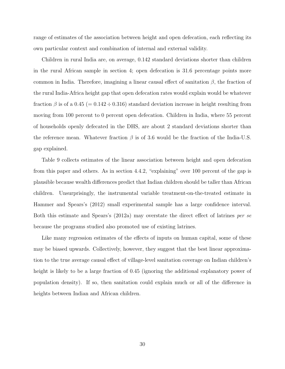range of estimates of the association between height and open defecation, each reflecting its own particular context and combination of internal and external validity.

Children in rural India are, on average, 0.142 standard deviations shorter than children in the rural African sample in section 4; open defecation is 31.6 percentage points more common in India. Therefore, imagining a linear causal effect of sanitation  $\beta$ , the fraction of the rural India-Africa height gap that open defecation rates would explain would be whatever fraction  $\beta$  is of a 0.45 (= 0.142 ÷ 0.316) standard deviation increase in height resulting from moving from 100 percent to 0 percent open defecation. Children in India, where 55 percent of households openly defecated in the DHS, are about 2 standard deviations shorter than the reference mean. Whatever fraction  $\beta$  is of 3.6 would be the fraction of the India-U.S. gap explained.

Table 9 collects estimates of the linear association between height and open defecation from this paper and others. As in section 4.4.2, "explaining" over 100 percent of the gap is plausible because wealth differences predict that Indian children should be taller than African children. Unsurprisingly, the instrumental variable treatment-on-the-treated estimate in Hammer and Spears's (2012) small experimental sample has a large confidence interval. Both this estimate and Spears's (2012a) may overstate the direct effect of latrines per se because the programs studied also promoted use of existing latrines.

Like many regression estimates of the effects of inputs on human capital, some of these may be biased upwards. Collectively, however, they suggest that the best linear approximation to the true average causal effect of village-level sanitation coverage on Indian children's height is likely to be a large fraction of  $0.45$  (ignoring the additional explanatory power of population density). If so, then sanitation could explain much or all of the difference in heights between Indian and African children.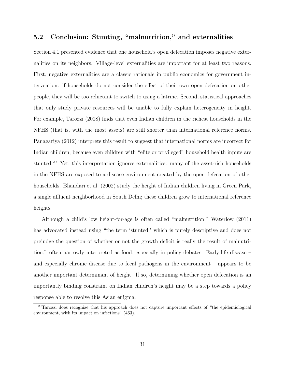## 5.2 Conclusion: Stunting, "malnutrition," and externalities

Section 4.1 presented evidence that one household's open defecation imposes negative externalities on its neighbors. Village-level externalities are important for at least two reasons. First, negative externalities are a classic rationale in public economics for government intervention: if households do not consider the effect of their own open defecation on other people, they will be too reluctant to switch to using a latrine. Second, statistical approaches that only study private resources will be unable to fully explain heterogeneity in height. For example, Tarozzi (2008) finds that even Indian children in the richest households in the NFHS (that is, with the most assets) are still shorter than international reference norms. Panagariya (2012) interprets this result to suggest that international norms are incorrect for Indian children, because even children with "elite or privileged" household health inputs are stunted.<sup>29</sup> Yet, this interpretation ignores externalities: many of the asset-rich households in the NFHS are exposed to a disease environment created by the open defecation of other households. Bhandari et al. (2002) study the height of Indian children living in Green Park, a single affluent neighborhood in South Delhi; these children grow to international reference heights.

Although a child's low height-for-age is often called "malnutrition," Waterlow (2011) has advocated instead using "the term 'stunted,' which is purely descriptive and does not prejudge the question of whether or not the growth deficit is really the result of malnutrition," often narrowly interpreted as food, especially in policy debates. Early-life disease – and especially chronic disease due to fecal pathogens in the environment – appears to be another important determinant of height. If so, determining whether open defecation is an importantly binding constraint on Indian children's height may be a step towards a policy response able to resolve this Asian enigma.

<sup>&</sup>lt;sup>29</sup>Tarozzi does recognize that his approach does not capture important effects of "the epidemiological environment, with its impact on infections" (463).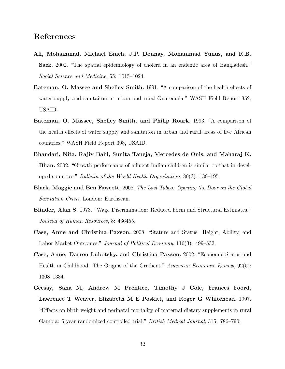# References

- Ali, Mohammad, Michael Emch, J.P. Donnay, Mohammad Yunus, and R.B. Sack. 2002. "The spatial epidemiology of cholera in an endemic area of Bangladesh." Social Science and Medicine, 55: 1015–1024.
- Bateman, O. Massee and Shelley Smith. 1991. "A comparison of the health effects of water supply and sanitaiton in urban and rural Guatemala." WASH Field Report 352, USAID.
- Bateman, O. Massee, Shelley Smith, and Philip Roark. 1993. "A comparison of the health effects of water supply and sanitaiton in urban and rural areas of five African countries." WASH Field Report 398, USAID.
- Bhandari, Nita, Rajiv Bahl, Sunita Taneja, Mercedes de Onis, and Maharaj K. Bhan. 2002. "Growth performance of affluent Indian children is similar to that in developed countries." Bulletin of the World Health Organization, 80(3): 189–195.
- Black, Maggie and Ben Fawcett. 2008. The Last Taboo: Opening the Door on the Global Sanitation Crisis, London: Earthscan.
- Blinder, Alan S. 1973. "Wage Discrimination: Reduced Form and Structural Estimates." Journal of Human Resources, 8: 436455.
- Case, Anne and Christina Paxson. 2008. "Stature and Status: Height, Ability, and Labor Market Outcomes." Journal of Political Economy, 116(3): 499–532.
- Case, Anne, Darren Lubotsky, and Christina Paxson. 2002. "Economic Status and Health in Childhood: The Origins of the Gradient." American Economic Review, 92(5): 1308–1334.
- Ceesay, Sana M, Andrew M Prentice, Timothy J Cole, Frances Foord, Lawrence T Weaver, Elizabeth M E Poskitt, and Roger G Whitehead. 1997. "Effects on birth weight and perinatal mortality of maternal dietary supplements in rural Gambia: 5 year randomized controlled trial." British Medical Journal, 315: 786–790.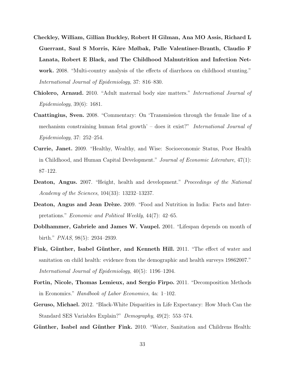- Checkley, William, Gillian Buckley, Robert H Gilman, Ana MO Assis, Richard L Guerrant, Saul S Morris, Kåre Mølbak, Palle Valentiner-Branth, Claudio F Lanata, Robert E Black, and The Childhood Malnutrition and Infection Network. 2008. "Multi-country analysis of the effects of diarrhoea on childhood stunting." International Journal of Epidemiology, 37: 816–830.
- Chiolero, Arnaud. 2010. "Adult maternal body size matters." International Journal of Epidemiology, 39(6): 1681.
- Cnattingius, Sven. 2008. "Commentary: On 'Transmission through the female line of a mechanism constraining human fetal growth' – does it exist?" *International Journal of* Epidemiology, 37: 252–254.
- Currie, Janet. 2009. "Healthy, Wealthy, and Wise: Socioeconomic Status, Poor Health in Childhood, and Human Capital Development." Journal of Economic Literature, 47(1): 87–122.
- Deaton, Angus. 2007. "Height, health and development." Proceedings of the National Academy of the Sciences, 104(33): 13232–13237.
- Deaton, Angus and Jean Drèze. 2009. "Food and Nutrition in India: Facts and Interpretations." Economic and Political Weekly, 44(7): 42–65.
- Doblhammer, Gabriele and James W. Vaupel. 2001. "Lifespan depends on month of birth." PNAS, 98(5): 2934–2939.
- Fink, Günther, Isabel Günther, and Kenneth Hill. 2011. "The effect of water and sanitation on child health: evidence from the demographic and health surveys 19862007." International Journal of Epidemiology, 40(5): 1196–1204.
- Fortin, Nicole, Thomas Lemieux, and Sergio Firpo. 2011. "Decomposition Methods in Economics." Handbook of Labor Economics, 4a: 1–102.
- Geruso, Michael. 2012. "Black-White Disparities in Life Expectancy: How Much Can the Standard SES Variables Explain?" Demography, 49(2): 553–574.
- Günther, Isabel and Günther Fink. 2010. "Water, Sanitation and Childrens Health: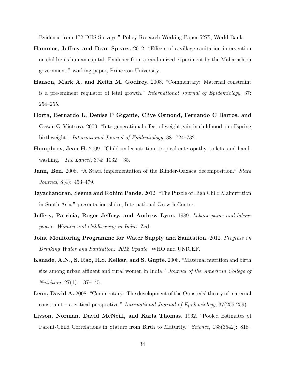Evidence from 172 DHS Surveys." Policy Research Working Paper 5275, World Bank.

- Hammer, Jeffrey and Dean Spears. 2012. "Effects of a village sanitation intervention on children's human capital: Evidence from a randomized experiment by the Maharashtra government." working paper, Princeton University.
- Hanson, Mark A. and Keith M. Godfrey. 2008. "Commentary: Maternal constraint is a pre-eminent regulator of fetal growth." International Journal of Epidemiology, 37: 254–255.
- Horta, Bernardo L, Denise P Gigante, Clive Osmond, Fernando C Barros, and Cesar G Victora. 2009. "Intergenerational effect of weight gain in childhood on offspring birthweight." International Journal of Epidemiology, 38: 724–732.
- Humphrey, Jean H. 2009. "Child undernutrition, tropical enteropathy, toilets, and handwashing." *The Lancet*, 374: 1032 – 35.
- **Jann, Ben.** 2008. "A Stata implementation of the Blinder-Oaxaca decomposition." Stata Journal, 8(4): 453–479.
- Jayachandran, Seema and Rohini Pande. 2012. "The Puzzle of High Child Malnutrition in South Asia." presentation slides, International Growth Centre.
- Jeffery, Patricia, Roger Jeffery, and Andrew Lyon. 1989. Labour pains and labour power: Women and childbearing in India: Zed.
- Joint Monitoring Programme for Water Supply and Sanitation. 2012. Progress on Drinking Water and Sanitation: 2012 Update: WHO and UNICEF.
- Kanade, A.N., S. Rao, R.S. Kelkar, and S. Gupte. 2008. "Maternal nutrition and birth size among urban affluent and rural women in India." Journal of the American College of Nutrition, 27(1): 137–145.
- Leon, David A. 2008. "Commentary: The development of the Ounsteds' theory of maternal constraint – a critical perspective." International Journal of Epidemiology, 37(255-259).
- Livson, Norman, David McNeill, and Karla Thomas. 1962. "Pooled Estimates of Parent-Child Correlations in Stature from Birth to Maturity." Science, 138(3542): 818–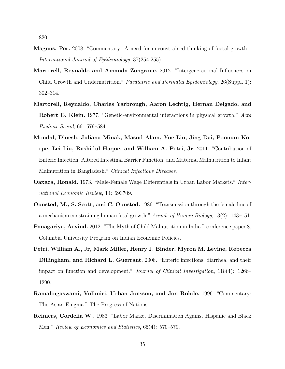820.

- Magnus, Per. 2008. "Commentary: A need for unconstrained thinking of foetal growth." International Journal of Epidemiology, 37(254-255).
- Martorell, Reynaldo and Amanda Zongrone. 2012. "Intergenerational Influences on Child Growth and Undernutrition." Paediatric and Perinatal Epidemiology, 26(Suppl. 1): 302–314.
- Martorell, Reynaldo, Charles Yarbrough, Aaron Lechtig, Hernan Delgado, and Robert E. Klein. 1977. "Genetic-environmental interactions in physical growth." Acta Pædiatr Scand, 66: 579–584.
- Mondal, Dinesh, Juliana Minak, Masud Alam, Yue Liu, Jing Dai, Poonum Korpe, Lei Liu, Rashidul Haque, and William A. Petri, Jr. 2011. "Contribution of Enteric Infection, Altered Intestinal Barrier Function, and Maternal Malnutrition to Infant Malnutrition in Bangladesh." Clinical Infectious Diseases.
- Oaxaca, Ronald. 1973. "Male-Female Wage Differentials in Urban Labor Markets." International Economic Review, 14: 693709.
- Ounsted, M., S. Scott, and C. Ounsted. 1986. "Transmission through the female line of a mechanism constraining human fetal growth." Annals of Human Biology, 13(2): 143–151.
- Panagariya, Arvind. 2012. "The Myth of Child Malnutrition in India." conference paper 8, Columbia University Program on Indian Economic Policies.
- Petri, William A., Jr, Mark Miller, Henry J. Binder, Myron M. Levine, Rebecca Dillingham, and Richard L. Guerrant. 2008. "Enteric infections, diarrhea, and their impact on function and development." Journal of Clinical Investigation, 118(4): 1266– 1290.
- Ramalingaswami, Vulimiri, Urban Jonsson, and Jon Rohde. 1996. "Commentary: The Asian Enigma." The Progress of Nations.
- Reimers, Cordelia W.. 1983. "Labor Market Discrimination Against Hispanic and Black Men." Review of Economics and Statistics, 65(4): 570–579.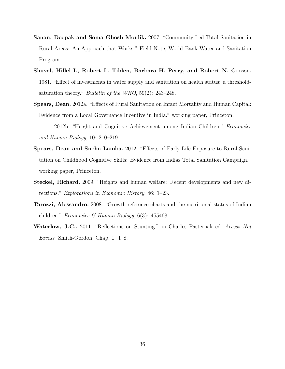- Sanan, Deepak and Soma Ghosh Moulik. 2007. "Community-Led Total Sanitation in Rural Areas: An Approach that Works." Field Note, World Bank Water and Sanitation Program.
- Shuval, Hillel I., Robert L. Tilden, Barbara H. Perry, and Robert N. Grosse. 1981. "Effect of investments in water supply and sanitation on health status: a thresholdsaturation theory." Bulletin of the WHO, 59(2): 243–248.
- Spears, Dean. 2012a. "Effects of Rural Sanitation on Infant Mortality and Human Capital: Evidence from a Local Governance Incentive in India." working paper, Princeton.
- 2012b. "Height and Cognitive Achievement among Indian Children." *Economics* and Human Biology, 10: 210–219.
- Spears, Dean and Sneha Lamba. 2012. "Effects of Early-Life Exposure to Rural Sanitation on Childhood Cognitive Skills: Evidence from Indias Total Sanitation Campaign." working paper, Princeton.
- Steckel, Richard. 2009. "Heights and human welfare: Recent developments and new directions." Explorations in Economic History, 46: 1–23.
- Tarozzi, Alessandro. 2008. "Growth reference charts and the nutritional status of Indian children." Economics & Human Biology,  $6(3)$ : 455468.
- Waterlow, J.C.. 2011. "Reflections on Stunting." in Charles Pasternak ed. Access Not Excess: Smith-Gordon, Chap. 1: 1–8.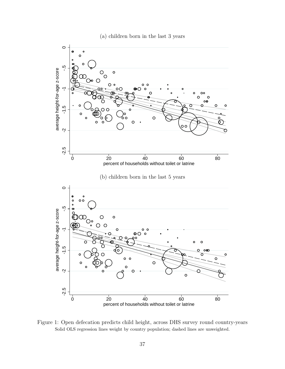



Figure 1: Open defecation predicts child height, across DHS survey round country-years Solid OLS regression lines weight by country population; dashed lines are unweighted.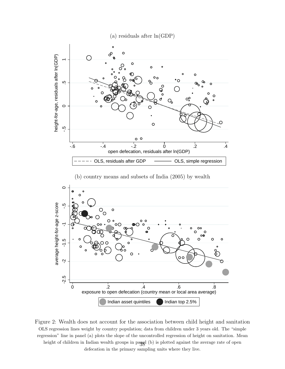







Figure 2: Wealth does not account for the association between child height and sanitation OLS regression lines weight by country population; data from children under 3 years old. The "simple regression" line in panel (a) plots the slope of the uncontrolled regression of height on sanitation. Mean height of children in Indian wealth groups in panel (b) is plotted against the average rate of open defecation in the primary sampling units where they live.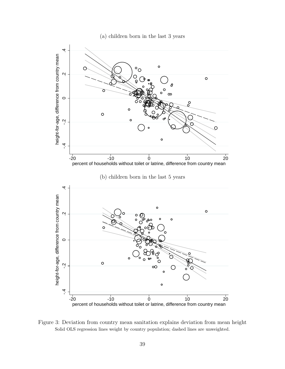(a) children born in the last 3 years



Figure 3: Deviation from country mean sanitation explains deviation from mean height Solid OLS regression lines weight by country population; dashed lines are unweighted.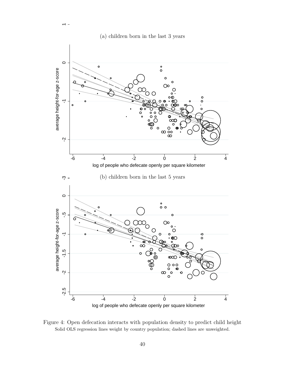



Figure 4: Open defecation interacts with population density to predict child height Solid OLS regression lines weight by country population; dashed lines are unweighted.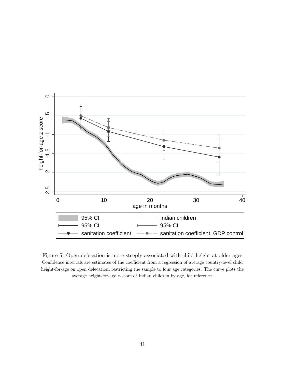

Figure 5: Open defecation is more steeply associated with child height at older ages Confidence intervals are estimates of the coefficient from a regression of average country-level child height-for-age on open defecation, restricting the sample to four age categories. The curve plots the average height-for-age z-score of Indian children by age, for reference.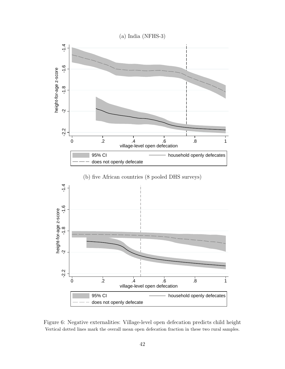

Figure 6: Negative externalities: Village-level open defecation predicts child height Vertical dotted lines mark the overall mean open defecation fraction in these two rural samples.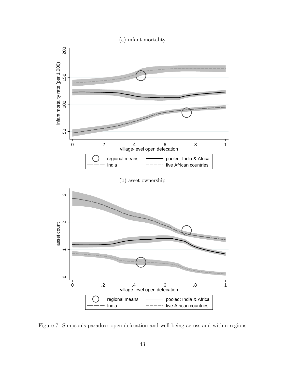

Figure 7: Simpson's paradox: open defecation and well-being across and within regions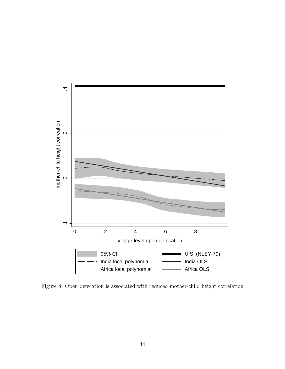

Figure 8: Open defecation is associated with reduced mother-child height correlation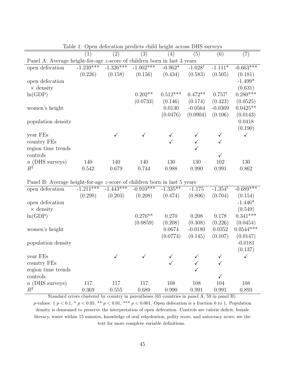| $\left(1\right)$ | (2)         | (3)         | $\left(4\right)$ | (5)                | (6)                                                                      | $\left( 7\right)$ |
|------------------|-------------|-------------|------------------|--------------------|--------------------------------------------------------------------------|-------------------|
|                  |             |             |                  |                    |                                                                          |                   |
|                  |             |             | $-0.962*$        | $-1.028^{\dagger}$ | $-1.111*$                                                                | $-0.663***$       |
| (0.226)          | (0.158)     | (0.156)     | (0.434)          | (0.583)            | (0.505)                                                                  | (0.181)           |
|                  |             |             |                  |                    |                                                                          | $-1.499*$         |
|                  |             |             |                  |                    |                                                                          | (0.631)           |
|                  |             | $0.202**$   | $0.512***$       | $0.472**$          | $0.757^{\dagger}$                                                        | $0.280***$        |
|                  |             | (0.0733)    | (0.146)          | (0.174)            | (0.423)                                                                  | (0.0525)          |
|                  |             |             | 0.0130           | $-0.0564$          | $-0.0369$                                                                | $0.0425**$        |
|                  |             |             | (0.0476)         | (0.0904)           | (0.106)                                                                  | (0.0143)          |
|                  |             |             |                  |                    |                                                                          | 0.0418            |
|                  |             |             |                  |                    |                                                                          | (0.190)           |
|                  |             |             |                  |                    |                                                                          |                   |
|                  |             |             |                  |                    |                                                                          |                   |
|                  |             |             |                  | ✓                  |                                                                          |                   |
|                  |             |             |                  |                    | $\checkmark$                                                             |                   |
| 140              | 140         | 140         | 130              | 130                | 102                                                                      | 130               |
| 0.542            | 0.679       | 0.744       | 0.988            | 0.990              | 0.991                                                                    | 0.862             |
|                  | $-1.239***$ | $-1.326***$ | $-1.002***$      |                    | Panel A: Average height-for-age z-score of children born in last 3 years |                   |

Table 1: Open defecation predicts child height across DHS surveys

Panel B: Average height-for-age z-score of children born in last 5 years

| open defecation    | $-1.211***$ | $-1.443***$  | $-0.910***$  | $-1.335**$   | $-1.175$  | $-1.354^{\dagger}$ | $-0.689$ *** |
|--------------------|-------------|--------------|--------------|--------------|-----------|--------------------|--------------|
|                    | (0.290)     | (0.203)      | (0.208)      | (0.474)      | (0.806)   | (0.704)            | (0.154)      |
| open defecation    |             |              |              |              |           |                    | $-1.446*$    |
| $\times$ density   |             |              |              |              |           |                    | (0.549)      |
| ln(GDP)            |             |              | $0.276**$    | 0.270        | 0.208     | 0.178              | $0.341***$   |
|                    |             |              | (0.0859)     | (0.208)      | (0.308)   | (0.226)            | (0.0454)     |
| women's height     |             |              |              | 0.0674       | $-0.0180$ | 0.0352             | $0.0544***$  |
|                    |             |              |              | (0.0774)     | (0.145)   | (0.107)            | (0.0147)     |
| population density |             |              |              |              |           |                    | $-0.0181$    |
|                    |             |              |              |              |           |                    | (0.137)      |
| year FEs           |             | $\checkmark$ | $\checkmark$ |              |           | $\checkmark$       | $\checkmark$ |
| country FEs        |             |              |              | $\checkmark$ |           | ✓                  |              |
| region time trends |             |              |              |              | ✓         |                    |              |
| controls           |             |              |              |              |           |                    |              |
| $n$ (DHS surveys)  | 117         | 117          | 117          | 108          | 108       | 104                | 108          |
| $R^2$              | 0.369       | 0.555        | 0.689        | 0.990        | 0.991     | 0.991              | 0.893        |

Standard errors clustered by country in parentheses (65 countries in panel A, 59 in panel B). p-values:  $\uparrow p < 0.1$ ,  $\ast p < 0.05$ ,  $\ast \ast p < 0.01$ ,  $\ast \ast p < 0.001$ . Open defecation is a fraction 0 to 1. Population density is demeaned to preserve the interpretation of open defecation. Controls are calorie deficit, female literacy, water within 15 minutes, knowledge of oral rehydration, polity score, and autocracy score; see the text for more complete variable definitions.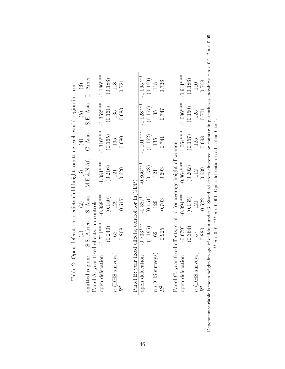| $\widehat{6}$<br>Table 2: Open defecation predicts child height, omitting each world region in turn | L. Amer.        |                                          | $-1.186***$     | (0.186) | 118               | 0.721 |                                                            | $-1.065***$     | (0.169) | 118               | 0.736 |                                                                  | $-0.911***$        | (0.186) | 110               | 0.768 |
|-----------------------------------------------------------------------------------------------------|-----------------|------------------------------------------|-----------------|---------|-------------------|-------|------------------------------------------------------------|-----------------|---------|-------------------|-------|------------------------------------------------------------------|--------------------|---------|-------------------|-------|
| $\widetilde{\Theta}$                                                                                | S.E. Asia       |                                          | $-1.352***$     | (0.161) | 135               | 0.683 |                                                            | $-1.028***$     | (0.157) | 135               | 747   |                                                                  | $-1.096***$        | (0.150) | 125               | 0.701 |
| $\widehat{\exists}$                                                                                 | C. Asia         |                                          | $-1.316***$     | (0.165) | 135               | 0.680 |                                                            | $-1.001***$     | (0.162) | 135               | 0.741 |                                                                  | $-1.064***$        | (0.157) | 125               | 0.698 |
| $\widehat{\mathcal{C}}$                                                                             | M.E.&N.Af.      |                                          | $-1.081***$     | (0.216) | 121               | 0.620 |                                                            | $-0.866***$     | (0.178) | 121               | 0.693 |                                                                  | $-0.864***$        | (0.202) | 112               | 0.639 |
| $\widehat{\Omega}$                                                                                  | S. Asia         |                                          | $-0.988***$     | (0.140) | 129               | 0.517 |                                                            | $-0.387*$       | (0.151) | 129               | 0.703 |                                                                  | $-0.994***$        | (0.135) | 121               | 0.522 |
|                                                                                                     | S.S. Africa     |                                          | $-1.711***$     | (0.240) | $\Im$             | 0.808 |                                                            | $-0.733***$     | (0.195) | 62                | 0.925 |                                                                  | $-0.679^{\dagger}$ | (0.364) | 25                | 0.880 |
|                                                                                                     | omitted region: | Panel A: year fixed effects, no controls | open defecation |         | $n$ (DHS surveys) | $R^2$ | Panel B: year fixed effects, control for $\ln(\text{GDP})$ | open defecation |         | $n$ (DHS surveys) | $R^2$ | Panel C: year fixed effects, control for average height of women | open defecation    |         | $n$ (DHS surveys) | $R^2$ |

|                                                              | f children under 3. Standard errors clustered by country in parentheses. <i>p</i> -values: $\dagger p < 0.1$ , $* p < 0.05$ , |                                                               |  |
|--------------------------------------------------------------|-------------------------------------------------------------------------------------------------------------------------------|---------------------------------------------------------------|--|
|                                                              |                                                                                                                               |                                                               |  |
|                                                              |                                                                                                                               |                                                               |  |
|                                                              |                                                                                                                               | 0.01, *** $p < 0.001$ . Open defecation is a fraction 0 to 1. |  |
| )<br>)<br>)                                                  |                                                                                                                               |                                                               |  |
| $\frac{1}{2}$                                                |                                                                                                                               |                                                               |  |
| )<br>)<br>)<br>)                                             |                                                                                                                               | $\ddot{\phantom{0}}$<br>$\tilde{\zeta}$                       |  |
| ֧֧֧֧֧֧֧֧֧֧֧֚֚֚֚֚֚֚֚֚֚֚֚֚֚֚֚֚֚֚֚֚֚֚֚֚֚֚֚֡֝֝֟֓֝֬֝֓֝֬֝֓֝֬֝֬֝֬֝֬ | Ï<br>ı                                                                                                                        |                                                               |  |
|                                                              |                                                                                                                               |                                                               |  |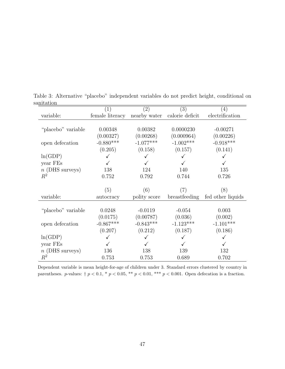|                    | $\perp$         | $\left( 2\right)$ | (3)             | $\left(4\right)$  |
|--------------------|-----------------|-------------------|-----------------|-------------------|
| variable:          | female literacy | nearby water      | calorie deficit | electrification   |
|                    |                 |                   |                 |                   |
| "placebo" variable | 0.00348         | 0.00382           | 0.0000230       | $-0.00271$        |
|                    | (0.00327)       | (0.00268)         | (0.000964)      | (0.00226)         |
| open defecation    | $-0.880***$     | $-1.077***$       | $-1.002***$     | $-0.918***$       |
|                    | (0.205)         | (0.158)           | (0.157)         | (0.141)           |
| ln(GDP)            |                 |                   |                 |                   |
| year FEs           |                 |                   |                 |                   |
| $n$ (DHS surveys)  | 138             | 124               | 140             | 135               |
| $R^2$              | 0.752           | 0.792             | 0.744           | 0.726             |
|                    |                 |                   |                 |                   |
|                    | (5)             | (6)               | (7)             | (8)               |
| variable:          | autocracy       | polity score      | breastfeeding   | fed other liquids |
|                    |                 |                   |                 |                   |
| "placebo" variable | 0.0248          | $-0.0119$         | $-0.054$        | 0.003             |
|                    | (0.0175)        | (0.00787)         | (0.036)         | (0.002)           |
| open defecation    | $-0.867***$     | $-0.843***$       | $-1.123***$     | $-1.101***$       |
|                    | (0.207)         | (0.212)           | (0.187)         | (0.186)           |
| ln(GDP)            |                 |                   |                 |                   |
| year FEs           |                 |                   |                 |                   |
|                    |                 |                   |                 |                   |
| $n$ (DHS surveys)  | 136             | 138               | 139             | 132               |

Table 3: Alternative "placebo" independent variables do not predict height, conditional on sanitation

Dependent variable is mean height-for-age of children under 3. Standard errors clustered by country in parentheses. p-values:  $\dagger p < 0.1$ ,  $* p < 0.05$ ,  $** p < 0.01$ ,  $*** p < 0.001$ . Open defecation is a fraction.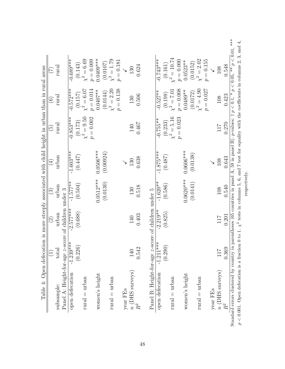| Table 4: Open defecation is more steeply associated with child height in urban than in rural areas                                                                                                                                                                                                                |             |                          |             |             |                              |                               |                               |  |
|-------------------------------------------------------------------------------------------------------------------------------------------------------------------------------------------------------------------------------------------------------------------------------------------------------------------|-------------|--------------------------|-------------|-------------|------------------------------|-------------------------------|-------------------------------|--|
|                                                                                                                                                                                                                                                                                                                   |             | $\widehat{\mathfrak{D}}$ | $\odot$     | $\bigoplus$ | $\widetilde{\mathbb{G}}$     | $\odot$                       | E                             |  |
| subsample:                                                                                                                                                                                                                                                                                                        | total       | urban                    | urban       | urban       | rural                        | rural                         | rural                         |  |
| Panel A: Height-for-age <i>z</i> -score of children under 3 open defecation $-1.239***$ $-2.577***$ $-1.577$                                                                                                                                                                                                      |             |                          |             |             |                              |                               |                               |  |
| open defecation                                                                                                                                                                                                                                                                                                   |             |                          | $-1.577**$  | $-1.603***$ | $-0.853***$                  | $-0.572***$                   | $-0.689***$                   |  |
|                                                                                                                                                                                                                                                                                                                   | (0.226)     | (0.688)                  | (0.504)     | (0.447)     | $(0.173)$<br>$\chi^2 = 9.50$ | $(0.157)$ $\chi^2=6.07$       | $(0.143)$<br>$\chi^2 = 6.69$  |  |
| $rural = urban$                                                                                                                                                                                                                                                                                                   |             |                          |             |             |                              |                               |                               |  |
|                                                                                                                                                                                                                                                                                                                   |             |                          |             |             | $p = 0.002$                  | $p = 0.014$                   | $p = 0.009$                   |  |
| women's height                                                                                                                                                                                                                                                                                                    |             |                          | $0.0512***$ | $0.0506***$ |                              | $0.0407***$                   | $0.0409***$                   |  |
|                                                                                                                                                                                                                                                                                                                   |             |                          | (0.0130)    | (0.00924)   |                              | $(0.0144)$<br>$\chi^2 = 2.20$ | $(0.0107)$<br>$\chi^2 = 1.79$ |  |
| $rural = urban$                                                                                                                                                                                                                                                                                                   |             |                          |             |             |                              | $p = 0.138$                   | $p = 0.181$                   |  |
| year FEs                                                                                                                                                                                                                                                                                                          |             |                          |             |             |                              |                               |                               |  |
| $\frac{n}{R^2}(\text{DHS surveys})$                                                                                                                                                                                                                                                                               | 140         | 140                      | 130         | 130         | 140                          | 130                           | 130                           |  |
|                                                                                                                                                                                                                                                                                                                   | 0.542       | 0.403                    | 0.518       | 0.638       | 0.467                        | 0.506                         | 0.624                         |  |
| Panel B: Height-for-age z-score of children under 5                                                                                                                                                                                                                                                               |             |                          |             |             |                              |                               |                               |  |
| open defecation                                                                                                                                                                                                                                                                                                   | $-1.211***$ | $-2.219**$               | $-1.620**$  | $-1.875***$ | $-0.755**$                   | $-0.527**$                    | $-0.743***$                   |  |
|                                                                                                                                                                                                                                                                                                                   | (0.290)     | (0.825)                  | (0.586)     | (0.487)     | $(0.233)$<br>$\chi^2 = 5.16$ | $(0.198)$<br>$\chi^2 = 7.01$  | $(0.161)$ $\chi^2=10.74$      |  |
| $rural = urban$                                                                                                                                                                                                                                                                                                   |             |                          |             |             |                              |                               |                               |  |
|                                                                                                                                                                                                                                                                                                                   |             |                          |             |             | $p = 0.023$                  | $p = 0.008$                   | $p = 0.000$<br>$0.0523**$     |  |
| women's height                                                                                                                                                                                                                                                                                                    |             |                          | $0.0620***$ | $0.0606***$ |                              | $0.0489**$                    |                               |  |
|                                                                                                                                                                                                                                                                                                                   |             |                          | (0.0141)    | (0.0138)    |                              | $(0.0172)$<br>$\chi^2 = 4.90$ | $(0.0152)$<br>$\chi^2 = 2.02$ |  |
| $rural = urban$                                                                                                                                                                                                                                                                                                   |             |                          |             |             |                              | $p = 0.027$                   | $p=0.155\,$                   |  |
| year FEs                                                                                                                                                                                                                                                                                                          |             |                          |             |             |                              |                               |                               |  |
| $n$ (DHS surveys) $R^2$                                                                                                                                                                                                                                                                                           | 117         | 117                      | 108         | 108         | 717                          | 108                           | 108                           |  |
|                                                                                                                                                                                                                                                                                                                   | 0.369       | 0.201                    | 0.540       | 0.643       | 0.270                        | 0.423                         | 0.548                         |  |
| idard errors clustered by country in parentheses (65 countries in panel A, 59 in panel B). p-values: $\dagger p < 0.1$ , * $p < 0.05$ , ** $p < 0.01$ , ***<br>0.001. Open defecation is a fraction 0 to 1. $\chi^2$ tests in columns 5, 6, and 7 test for equality with the coefficients in columns 2, 3, and 4, |             |                          |             |             |                              |                               |                               |  |

Standard errors clustered by country in parentheses (65 countries in panel A, 59 in panel B).  $p$ -values: †  $p < 0.1$ , \*  $p < 0.05$ , \*\*  $p < 0.01$ , \*\*\*  $p < 0.001$ . Open defecation is a fraction 0 to 1.  $\chi^2$  tests in columns 5, 6, and 7 test for equality with the coefficients in columns 2, 3, and 4, respectively. respectively.  $\begin{aligned} \text{Stan}(\mathbf{p}) &\leq \mathbf{0} \end{aligned}$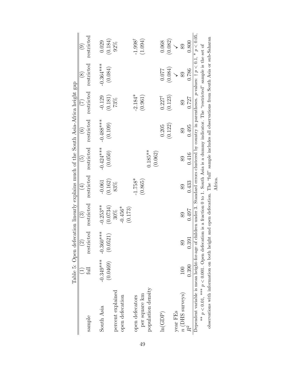|                                                                                                                                                                   |             | Table 5: Open defecation linearly explains much of the South Asia-Africa height gap |                        |            |                      |                   |                   |                       |                    |
|-------------------------------------------------------------------------------------------------------------------------------------------------------------------|-------------|-------------------------------------------------------------------------------------|------------------------|------------|----------------------|-------------------|-------------------|-----------------------|--------------------|
|                                                                                                                                                                   |             | $\overline{C}$                                                                      | $\widehat{\mathbb{C}}$ | $(\pm)$    | $\widetilde{\Theta}$ | $\widehat{\odot}$ | C)                | $\widetilde{\otimes}$ | ල                  |
| sample                                                                                                                                                            |             | restricted                                                                          | restricted             | restricted | restricted           | restricted        | restricted        | restricted            | restricted         |
| South Asia                                                                                                                                                        | $-0.349***$ | $-0.360***$                                                                         | $-0.253**$             | $-0.061$   | $-0.424***$          | $-0.488***$       | $-0.129$          | $-0.364***$           | 0.029              |
|                                                                                                                                                                   | (0.0469)    | (0.0521)                                                                            | (0.0734)               | (0.162)    | (0.050)              | (0.109)           | (0.181)           | (0.084)               | (0.184)            |
| percent explained                                                                                                                                                 |             |                                                                                     | 30%                    | 83%        |                      |                   | 73%               |                       | 92%                |
| open defecation                                                                                                                                                   |             |                                                                                     | $-0.456*$<br>(0.173)   |            |                      |                   |                   |                       |                    |
| open defecators                                                                                                                                                   |             |                                                                                     |                        | $-1.758*$  |                      |                   | $-2.184*$         |                       | $-1.998^{\dagger}$ |
| per square km                                                                                                                                                     |             |                                                                                     |                        | (0.865)    |                      |                   | (0.961)           |                       | (1.094)            |
| population density                                                                                                                                                |             |                                                                                     |                        |            | $0.185**$            |                   |                   |                       |                    |
|                                                                                                                                                                   |             |                                                                                     |                        |            | (0.062)              |                   |                   |                       |                    |
| ln(GDP)                                                                                                                                                           |             |                                                                                     |                        |            |                      | 0.205             | $0.227^{\dagger}$ | 0.077                 | 0.068              |
|                                                                                                                                                                   |             |                                                                                     |                        |            |                      | (0.122)           | (0.123)           | (0.084)               | (0.082)            |
| year FEs                                                                                                                                                          |             |                                                                                     |                        |            |                      |                   |                   |                       |                    |
| $n$ (DHS surveys)                                                                                                                                                 | 100         | 89                                                                                  | 89                     | 89         | 89                   | 89                | 89                | 89                    | 89                 |
|                                                                                                                                                                   | 0.390       | 0.391                                                                               | 0.497                  | 0.433      | 0.416                | 0.495             | 0.727             | 0.786                 | 0.800              |
| Dependent variable is mean height-for-age of children under 3. Standard errors clustered by country in parentheses. p-values: $\uparrow p < 0.1$ , * $p < 0.05$ , |             |                                                                                     |                        |            |                      |                   |                   |                       |                    |
| ** $p < 0.01$ , *** $p < 0.001$ . Open defecation is a fraction 0 to 1. South Asia is a dummy indicator. The "restricted" sample is the set of                    |             |                                                                                     |                        |            |                      |                   |                   |                       |                    |
| observations with information on both height and open defecation. The "full" sample includes all observations from South Asia or sub-Saharan                      |             |                                                                                     |                        |            |                      |                   |                   |                       |                    |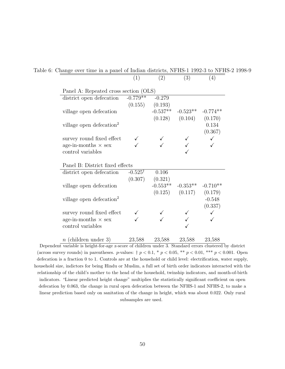|                                       | (1)                | (2)        | (3)                           | (4)        |
|---------------------------------------|--------------------|------------|-------------------------------|------------|
| Panel A: Repeated cross section (OLS) |                    |            |                               |            |
| district open defecation              | $-0.779**$         | $-0.279$   |                               |            |
|                                       | (0.155)            | (0.193)    |                               |            |
| village open defecation               |                    | $-0.537**$ | $-0.523**$                    | $-0.774**$ |
|                                       |                    |            | $(0.128)$ $(0.104)$           | (0.170)    |
| village open defecation <sup>2</sup>  |                    |            |                               | 0.134      |
|                                       |                    |            |                               | (0.367)    |
| survey round fixed effect             |                    |            |                               |            |
| age-in-months $\times$ sex            |                    |            |                               |            |
| control variables                     |                    |            |                               |            |
| Panel B: District fixed effects       |                    |            |                               |            |
| district open defecation              | $-0.525^{\dagger}$ | 0.106      |                               |            |
|                                       | (0.307)            | (0.321)    |                               |            |
| village open defecation               |                    | $-0.553**$ | $-0.353**$                    | $-0.710**$ |
|                                       |                    |            | $(0.125)$ $(0.117)$ $(0.179)$ |            |
| village open defecation <sup>2</sup>  |                    |            |                               | $-0.548$   |
|                                       |                    |            |                               | (0.337)    |
| survey round fixed effect             |                    |            |                               |            |
| age-in-months $\times$ sex            |                    |            |                               |            |
| control variables                     |                    |            |                               |            |
| $n$ (children under 3)                | 23,588             | 23,588     | 23,588                        | 23,588     |

Table 6: Change over time in a panel of Indian districts, NFHS-1 1992-3 to NFHS-2 1998-9

Dependent variable is height-for-age z-score of children under 3. Standard errors clustered by district (across survey rounds) in parentheses. *p*-values:  $\dagger p < 0.1$ ,  $\dagger p < 0.05$ ,  $\dagger p < 0.01$ ,  $\dagger p < 0.001$ . Open defecation is a fraction 0 to 1. Controls are at the household or child level: electrification, water supply, household size, indictors for being Hindu or Muslim, a full set of birth order indicators interacted with the relationship of the child's mother to the head of the household, twinship indicators, and month-of-birth indicators. "Linear predicted height change" multiplies the statistically significant coefficient on open defecation by 0.063, the change in rural open defecation between the NFHS-1 and NFHS-2, to make a linear prediction based only on sanitation of the change in height, which was about 0.022. Only rural subsamples are used.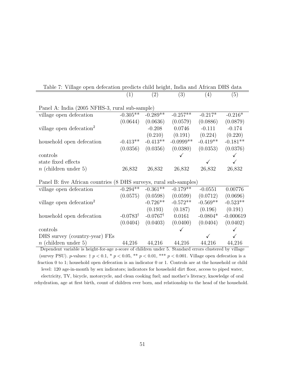| Table 7: Village open defecation predicts child height, India and African DHS data |                     |                     |              |            |             |
|------------------------------------------------------------------------------------|---------------------|---------------------|--------------|------------|-------------|
|                                                                                    | (1)                 | (2)                 | (3)          | (4)        | (5)         |
|                                                                                    |                     |                     |              |            |             |
| Panel A: India (2005 NFHS-3, rural sub-sample)                                     |                     |                     |              |            |             |
| village open defecation                                                            | $-0.305**$          | $-0.289**$          | $-0.257**$   | $-0.217*$  | $-0.216*$   |
|                                                                                    | (0.0644)            | (0.0636)            | (0.0579)     | (0.0886)   | (0.0879)    |
| village open defecation <sup>2</sup>                                               |                     | $-0.208$            | 0.0746       | $-0.111$   | $-0.174$    |
|                                                                                    |                     | (0.210)             | (0.191)      | (0.224)    | (0.220)     |
| household open defecation                                                          | $-0.413**$          | $-0.413**$          | $-0.0999$ ** | $-0.419**$ | $-0.181**$  |
|                                                                                    | (0.0356)            | (0.0356)            | (0.0380)     | (0.0353)   | (0.0376)    |
| controls                                                                           |                     |                     |              |            |             |
| state fixed effects                                                                |                     |                     |              |            |             |
| $n$ (children under 5)                                                             | 26,832              | 26,832              | 26,832       | 26,832     | 26,832      |
|                                                                                    |                     |                     |              |            |             |
| Panel B: five African countries (8 DHS surveys, rural sub-samples)                 |                     |                     |              |            |             |
| village open defecation                                                            | $-0.294**$          | $-0.361**$          | $-0.179**$   | $-0.0551$  | 0.00776     |
|                                                                                    | (0.0575)            | (0.0598)            | (0.0599)     | (0.0712)   | (0.0696)    |
| village open defecation <sup>2</sup>                                               |                     | $-0.726**$          | $-0.572**$   | $-0.569**$ | $-0.523**$  |
|                                                                                    |                     | (0.193)             | (0.187)      | (0.196)    | (0.191)     |
| household open defecation                                                          | $-0.0783^{\dagger}$ | $-0.0767^{\dagger}$ | 0.0161       | $-0.0804*$ | $-0.000619$ |
|                                                                                    | (0.0404)            | (0.0403)            | (0.0400)     | (0.0404)   | (0.0402)    |
| controls                                                                           |                     |                     |              |            |             |
| DHS survey (country-year) FEs                                                      |                     |                     |              |            |             |
| $n$ (children under 5)                                                             | 44,216              | 44,216              | 44,216       | 44,216     | 44,216      |

Dependent variable is height-for-age z-score of children under 5. Standard errors clustered by village (survey PSU). *p*-values:  $\dagger p < 0.1$ ,  $\dagger p < 0.05$ ,  $\dagger \dagger p < 0.01$ ,  $\dagger \dagger p < 0.001$ . Village open defecation is a fraction 0 to 1; household open defecation is an indicator 0 or 1. Controls are at the household or child level: 120 age-in-month by sex indicators; indicators for household dirt floor, access to piped water, electricity, TV, bicycle, motorcycle, and clean cooking fuel; and mother's literacy, knowledge of oral rehydration, age at first birth, count of children ever born, and relationship to the head of the household.